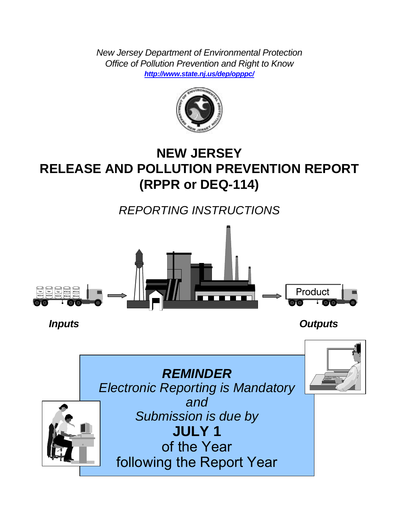*New Jersey Department of Environmental Protection Office of Pollution Prevention and Right to Know <http://www.state.nj.us/dep/opppc/>*



# **NEW JERSEY RELEASE AND POLLUTION PREVENTION REPORT (RPPR or DEQ-114)**

*REPORTING INSTRUCTIONS*



 *Inputs Outputs*

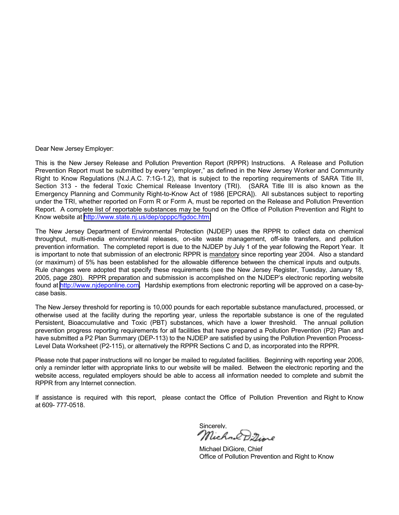Dear New Jersey Employer:

This is the New Jersey Release and Pollution Prevention Report (RPPR) Instructions. A Release and Pollution Prevention Report must be submitted by every "employer," as defined in the New Jersey Worker and Community Right to Know Regulations (N.J.A.C. 7:1G-1.2), that is subject to the reporting requirements of SARA Title III, Section 313 - the federal Toxic Chemical Release Inventory (TRI). (SARA Title III is also known as the Emergency Planning and Community Right-to-Know Act of 1986 [EPCRA]). All substances subject to reporting under the TRI, whether reported on Form R or Form A, must be reported on the Release and Pollution Prevention Report. A complete list of reportable substances may be found on the Office of Pollution Prevention and Right to Know website at [http://www.state.nj.us/dep/opppc/figdoc.htm.](http://www.state.nj.us/dep/opppc/figdoc.htm)

The New Jersey Department of Environmental Protection (NJDEP) uses the RPPR to collect data on chemical throughput, multi-media environmental releases, on-site waste management, off-site transfers, and pollution prevention information. The completed report is due to the NJDEP by July 1 of the year following the Report Year. It is important to note that submission of an electronic RPPR is mandatory since reporting year 2004. Also a standard (or maximum) of 5% has been established for the allowable difference between the chemical inputs and outputs. Rule changes were adopted that specify these requirements (see the New Jersey Register, Tuesday, January 18, 2005, page 280). RPPR preparation and submission is accomplished on the NJDEPís electronic reporting website found at [http://www.njdeponline.com.](http://www.njdeponline.com/) Hardship exemptions from electronic reporting will be approved on a case-bycase basis.

The New Jersey threshold for reporting is 10,000 pounds for each reportable substance manufactured, processed, or otherwise used at the facility during the reporting year, unless the reportable substance is one of the regulated Persistent, Bioaccumulative and Toxic (PBT) substances, which have a lower threshold. The annual pollution prevention progress reporting requirements for all facilities that have prepared a Pollution Prevention (P2) Plan and have submitted a P2 Plan Summary (DEP-113) to the NJDEP are satisfied by using the Pollution Prevention Process-Level Data Worksheet (P2-115), or alternatively the RPPR Sections C and D, as incorporated into the RPPR.

Please note that paper instructions will no longer be mailed to regulated facilities. Beginning with reporting year 2006, only a reminder letter with appropriate links to our website will be mailed. Between the electronic reporting and the website access, regulated employers should be able to access all information needed to complete and submit the RPPR from any Internet connection.

If assistance is required with this report, please contact the Office of Pollution Prevention and Right to Know at 609- 777-0518.

Sincerely.<br>*Michael D. T. . . . .* 

Michael DiGiore, Chief Office of Pollution Prevention and Right to Know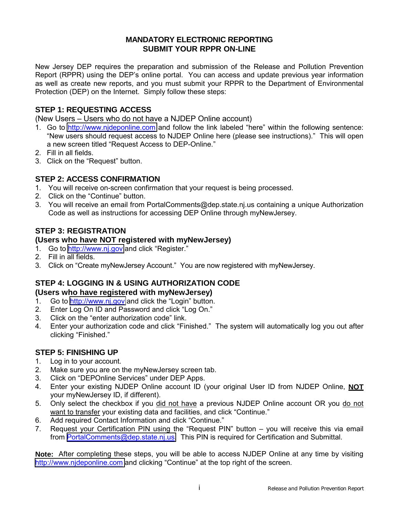# **MANDATORY ELECTRONIC REPORTING SUBMIT YOUR RPPR ON-LINE**

New Jersey DEP requires the preparation and submission of the Release and Pollution Prevention Report (RPPR) using the DEP's online portal. You can access and update previous year information as well as create new reports, and you must submit your RPPR to the Department of Environmental Protection (DEP) on the Internet. Simply follow these steps:

# **STEP 1: REQUESTING ACCESS**

(New Users – Users who do not have a NJDEP Online account)

- 1. Go to [http://www.njdeponline.com](http://www.njdeponline.com/) and follow the link labeled "here" within the following sentence: "New users should request access to NJDEP Online here (please see instructions)." This will open a new screen titled "Request Access to DEP-Online."
- 2. Fill in all fields.
- 3. Click on the "Request" button.

# **STEP 2: ACCESS CONFIRMATION**

- 1. You will receive on-screen confirmation that your request is being processed.
- 2. Click on the "Continue" button.
- 3. You will receive an email from PortalComments@dep.state.nj.us containing a unique Authorization Code as well as instructions for accessing DEP Online through myNewJersey.

# **STEP 3: REGISTRATION**

#### **(Users who have NOT registered with myNewJersey)**

- 1. Go to [http://www.nj.gov](http://www.nj.gov/) and click "Register."
- 2. Fill in all fields.
- 3. Click on "Create myNewJersey Account." You are now registered with myNewJersey.

# **STEP 4: LOGGING IN & USING AUTHORIZATION CODE**

# **(Users who have registered with myNewJersey)**

- 1. Go to [http://www.nj.gov](http://www.nj.gov/) and click the "Login" button.
- 2. Enter Log On ID and Password and click "Log On."
- 3. Click on the "enter authorization code" link.
- 4. Enter your authorization code and click "Finished." The system will automatically log you out after clicking "Finished."

# **STEP 5: FINISHING UP**

- 1. Log in to your account.
- 2. Make sure you are on the myNewJersey screen tab.
- 3. Click on "DEPOnline Services" under DEP Apps.
- 4. Enter your existing NJDEP Online account ID (your original User ID from NJDEP Online, **NOT** your myNewJersey ID, if different).
- 5. Only select the checkbox if you did not have a previous NJDEP Online account OR you do not want to transfer your existing data and facilities, and click "Continue."
- 6. Add required Contact Information and click "Continue."
- 7. Request your Certification PIN using the "Request PIN" button  $-$  you will receive this via email from [PortalComments@dep.state.nj.us.](mailto:PortalComments@dep.state.nj.us) This PIN is required for Certification and Submittal.

**Note:** After completing these steps, you will be able to access NJDEP Online at any time by visiting [http://www.njdeponline.com](http://www.njdeponline.com/) and clicking "Continue" at the top right of the screen.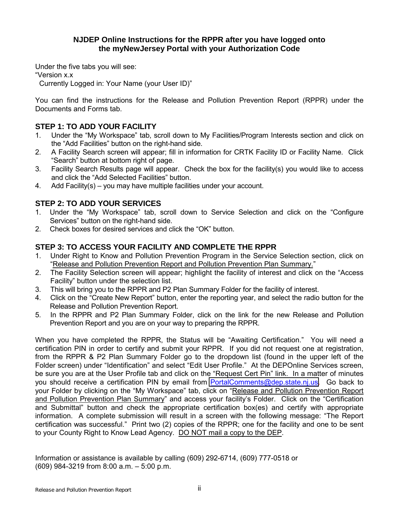# **NJDEP Online Instructions for the RPPR after you have logged onto the myNewJersey Portal with your Authorization Code**

Under the five tabs you will see: ìVersion x.x Currently Logged in: Your Name (your User ID)"

You can find the instructions for the Release and Pollution Prevention Report (RPPR) under the Documents and Forms tab.

# **STEP 1: TO ADD YOUR FACILITY**

- 1. Under the "My Workspace" tab, scroll down to My Facilities/Program Interests section and click on the "Add Facilities" button on the right-hand side.
- 2. A Facility Search screen will appear; fill in information for CRTK Facility ID or Facility Name. Click "Search" button at bottom right of page.
- 3. Facility Search Results page will appear. Check the box for the facility(s) you would like to access and click the "Add Selected Facilities" button.
- 4. Add Facility(s) you may have multiple facilities under your account.

# **STEP 2: TO ADD YOUR SERVICES**

- 1. Under the "My Workspace" tab, scroll down to Service Selection and click on the "Configure" Services" button on the right-hand side.
- 2. Check boxes for desired services and click the "OK" button.

# **STEP 3: TO ACCESS YOUR FACILITY AND COMPLETE THE RPPR**

- 1. Under Right to Know and Pollution Prevention Program in the Service Selection section, click on "Release and Pollution Prevention Report and Pollution Prevention Plan Summary."
- 2. The Facility Selection screen will appear; highlight the facility of interest and click on the "Access" Facilityî button under the selection list.
- 3. This will bring you to the RPPR and P2 Plan Summary Folder for the facility of interest.
- 4. Click on the "Create New Report" button, enter the reporting year, and select the radio button for the Release and Pollution Prevention Report.
- 5. In the RPPR and P2 Plan Summary Folder, click on the link for the new Release and Pollution Prevention Report and you are on your way to preparing the RPPR.

When you have completed the RPPR, the Status will be "Awaiting Certification." You will need a certification PIN in order to certify and submit your RPPR. If you did not request one at registration, from the RPPR & P2 Plan Summary Folder go to the dropdown list (found in the upper left of the Folder screen) under "Identification" and select "Edit User Profile." At the DEPOnline Services screen, be sure you are at the User Profile tab and click on the "Request Cert Pin" link. In a matter of minutes you should receive a certification PIN by email from [PortalComments@dep.state.nj.us.](mailto:PortalComments@dep.state.nj.us) Go back to your Folder by clicking on the "My Workspace" tab, click on "Release and Pollution Prevention Report and Pollution Prevention Plan Summary" and access your facility's Folder. Click on the "Certification and Submittal" button and check the appropriate certification box(es) and certify with appropriate information. A complete submission will result in a screen with the following message: "The Report certification was successful." Print two (2) copies of the RPPR; one for the facility and one to be sent to your County Right to Know Lead Agency. DO NOT mail a copy to the DEP.

Information or assistance is available by calling (609) 292-6714, (609) 777-0518 or  $(609)$  984-3219 from 8:00 a.m.  $-5:00$  p.m.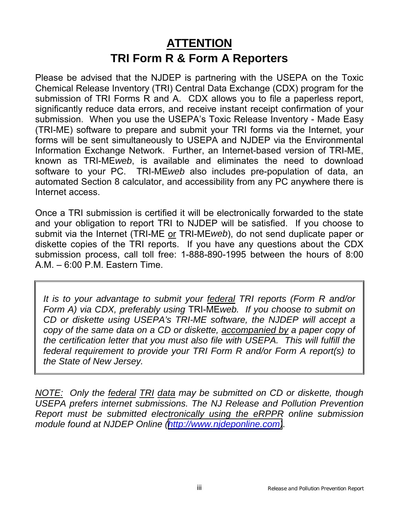# **ATTENTION TRI Form R & Form A Reporters**

Please be advised that the NJDEP is partnering with the USEPA on the Toxic Chemical Release Inventory (TRI) Central Data Exchange (CDX) program for the submission of TRI Forms R and A. CDX allows you to file a paperless report, significantly reduce data errors, and receive instant receipt confirmation of your submission. When you use the USEPA's Toxic Release Inventory - Made Easy (TRI-ME) software to prepare and submit your TRI forms via the Internet, your forms will be sent simultaneously to USEPA and NJDEP via the Environmental Information Exchange Network. Further, an Internet-based version of TRI-ME, known as TRI-ME*web*, is available and eliminates the need to download software to your PC. TRI-ME*web* also includes pre-population of data, an automated Section 8 calculator, and accessibility from any PC anywhere there is Internet access.

Once a TRI submission is certified it will be electronically forwarded to the state and your obligation to report TRI to NJDEP will be satisfied. If you choose to submit via the Internet (TRI-ME or TRI-ME*web*), do not send duplicate paper or diskette copies of the TRI reports. If you have any questions about the CDX submission process, call toll free: 1-888-890-1995 between the hours of 8:00  $A.M. - 6:00$  P.M. Eastern Time.

*It is to your advantage to submit your federal TRI reports (Form R and/or Form A) via CDX, preferably using* TRI-ME*web. If you choose to submit on CD or diskette using USEPA's TRI-ME software, the NJDEP will accept a copy of the same data on a CD or diskette, accompanied by a paper copy of the certification letter that you must also file with USEPA. This will fulfill the federal requirement to provide your TRI Form R and/or Form A report(s) to the State of New Jersey.*

*NOTE: Only the federal TRI data may be submitted on CD or diskette, though USEPA prefers internet submissions. The NJ Release and Pollution Prevention Report must be submitted electronically using the eRPPR online submission module found at NJDEP Online ([http://www.njdeponline.com\)](http://www.njdeponline.com/).*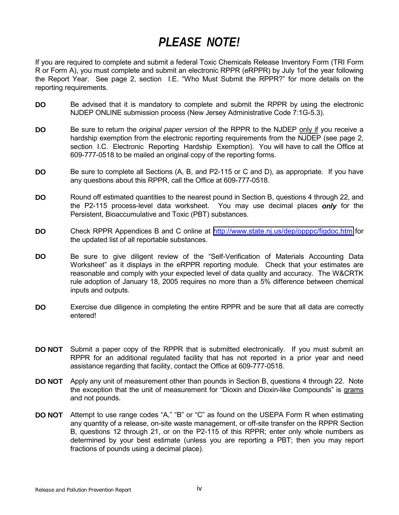# *PLEASE NOTE!*

If you are required to complete and submit a federal Toxic Chemicals Release Inventory Form (TRI Form R or Form A), you must complete and submit an electronic RPPR (eRPPR) by July 1of the year following the Report Year. See page 2, section I.E. "Who Must Submit the RPPR?" for more details on the reporting requirements.

- **DO** Be advised that it is mandatory to complete and submit the RPPR by using the electronic NJDEP ONLINE submission process (New Jersey Administrative Code 7:1G-5.3).
- **DO** Be sure to return the *original paper version* of the RPPR to the NJDEP only if you receive a hardship exemption from the electronic reporting requirements from the NJDEP (see page 2, section I.C. Electronic Reporting Hardship Exemption). You will have to call the Office at 609-777-0518 to be mailed an original copy of the reporting forms.
- **DO** Be sure to complete all Sections (A, B, and P2-115 or C and D), as appropriate. If you have any questions about this RPPR, call the Office at 609-777-0518.
- **DO** Round off estimated quantities to the nearest pound in Section B, questions 4 through 22, and the P2-115 process-level data worksheet. You may use decimal places *only* for the Persistent, Bioaccumulative and Toxic (PBT) substances.
- **DO** Check RPPR Appendices B and C online at <http://www.state.nj.us/dep/opppc/figdoc.htm>for the updated list of all reportable substances.
- **DO** Be sure to give diligent review of the "Self-Verification of Materials Accounting Data Worksheet" as it displays in the eRPPR reporting module. Check that your estimates are reasonable and comply with your expected level of data quality and accuracy. The W&CRTK rule adoption of January 18, 2005 requires no more than a 5% difference between chemical inputs and outputs.
- **DO** Exercise due diligence in completing the entire RPPR and be sure that all data are correctly entered!
- **DO NOT** Submit a paper copy of the RPPR that is submitted electronically. If you must submit an RPPR for an additional regulated facility that has not reported in a prior year and need assistance regarding that facility, contact the Office at 609-777-0518.
- **DO NOT** Apply any unit of measurement other than pounds in Section B, questions 4 through 22. Note the exception that the unit of measurement for "Dioxin and Dioxin-like Compounds" is grams and not pounds.
- **DO NOT** Attempt to use range codes "A," "B" or "C" as found on the USEPA Form R when estimating any quantity of a release, on-site waste management, or off-site transfer on the RPPR Section B, questions 12 through 21, or on the P2-115 of this RPPR; enter only whole numbers as determined by your best estimate (unless you are reporting a PBT; then you may report fractions of pounds using a decimal place).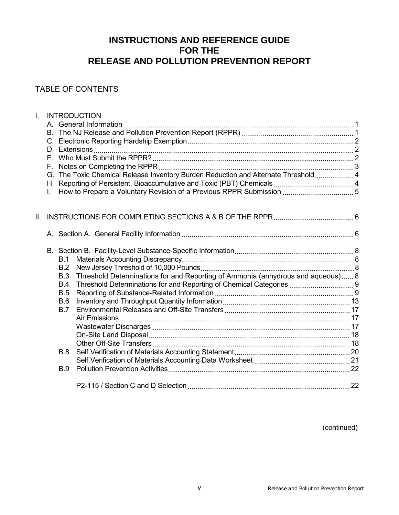# **INSTRUCTIONS AND REFERENCE GUIDE FOR THE RELEASE AND POLLUTION PREVENTION REPORT**

# TABLE OF CONTENTS

| Ī.  |    |            | <b>INTRODUCTION</b>                                                                |  |
|-----|----|------------|------------------------------------------------------------------------------------|--|
|     |    |            |                                                                                    |  |
|     |    |            |                                                                                    |  |
|     |    |            |                                                                                    |  |
|     |    |            |                                                                                    |  |
|     | F. |            |                                                                                    |  |
|     |    |            |                                                                                    |  |
|     |    |            | G. The Toxic Chemical Release Inventory Burden Reduction and Alternate Threshold 4 |  |
|     |    |            |                                                                                    |  |
|     |    |            |                                                                                    |  |
|     |    |            |                                                                                    |  |
| II. |    |            |                                                                                    |  |
|     |    |            |                                                                                    |  |
|     |    |            |                                                                                    |  |
|     |    | B.1        |                                                                                    |  |
|     |    | B.2        |                                                                                    |  |
|     |    | B.3        | Threshold Determinations for and Reporting of Ammonia (anhydrous and aqueous) 8    |  |
|     |    | B.4        | Threshold Determinations for and Reporting of Chemical Categories  9               |  |
|     |    | B.5        |                                                                                    |  |
|     |    | B.6        |                                                                                    |  |
|     |    | <b>B.7</b> |                                                                                    |  |
|     |    |            |                                                                                    |  |
|     |    |            |                                                                                    |  |
|     |    |            |                                                                                    |  |
|     |    |            |                                                                                    |  |
|     |    | <b>B.8</b> |                                                                                    |  |
|     |    |            |                                                                                    |  |
|     |    | <b>B.9</b> |                                                                                    |  |
|     |    |            |                                                                                    |  |

(continued)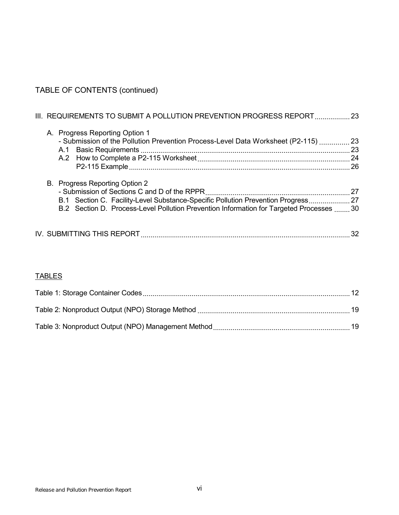# TABLE OF CONTENTS (continued)

|  | III. REQUIREMENTS TO SUBMIT A POLLUTION PREVENTION PROGRESS REPORT  23                                                                                                                                          |  |
|--|-----------------------------------------------------------------------------------------------------------------------------------------------------------------------------------------------------------------|--|
|  | A. Progress Reporting Option 1<br>- Submission of the Pollution Prevention Process-Level Data Worksheet (P2-115)  23                                                                                            |  |
|  |                                                                                                                                                                                                                 |  |
|  | B. Progress Reporting Option 2<br>B.1 Section C. Facility-Level Substance-Specific Pollution Prevention Progress 27<br>B.2 Section D. Process-Level Pollution Prevention Information for Targeted Processes  30 |  |
|  |                                                                                                                                                                                                                 |  |

# **TABLES**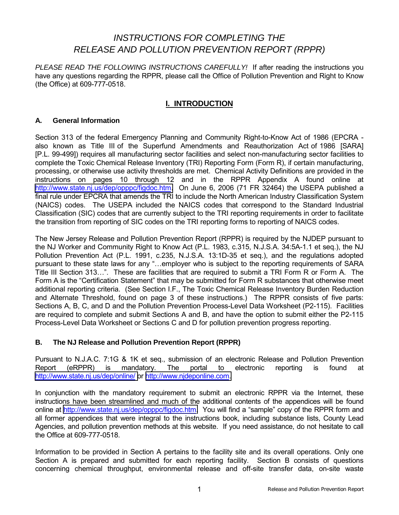# *INSTRUCTIONS FOR COMPLETING THE RELEASE AND POLLUTION PREVENTION REPORT (RPPR)*

*PLEASE READ THE FOLLOWING INSTRUCTIONS CAREFULLY!* If after reading the instructions you have any questions regarding the RPPR, please call the Office of Pollution Prevention and Right to Know (the Office) at 609-777-0518.

# **I. INTRODUCTION**

#### **A. General Information**

Section 313 of the federal Emergency Planning and Community Right-to-Know Act of 1986 (EPCRA also known as Title III of the Superfund Amendments and Reauthorization Act of 1986 [SARA] [P.L. 99-499]) requires all manufacturing sector facilities and select non-manufacturing sector facilities to complete the Toxic Chemical Release Inventory (TRI) Reporting Form (Form R), if certain manufacturing, processing, or otherwise use activity thresholds are met. Chemical Activity Definitions are provided in the instructions on pages 10 through 12 and in the RPPR Appendix A found online at [http://www.state.nj.us/dep/opppc/figdoc.htm.](http://www.state.nj.us/dep/opppc/figdoc.htm) On June 6, 2006 (71 FR 32464) the USEPA published a final rule under EPCRA that amends the TRI to include the North American Industry Classification System (NAICS) codes. The USEPA included the NAICS codes that correspond to the Standard Industrial Classification (SIC) codes that are currently subject to the TRI reporting requirements in order to facilitate the transition from reporting of SIC codes on the TRI reporting forms to reporting of NAICS codes.

The New Jersey Release and Pollution Prevention Report (RPPR) is required by the NJDEP pursuant to the NJ Worker and Community Right to Know Act (P.L. 1983, c.315, N.J.S.A. 34:5A-1.1 et seq.), the NJ Pollution Prevention Act (P.L. 1991, c.235, N.J.S.A. 13:1D-35 et seq.), and the regulations adopted pursuant to these state laws for any "...employer who is subject to the reporting requirements of SARA Title III Section 313...". These are facilities that are required to submit a TRI Form R or Form A. The Form A is the "Certification Statement" that may be submitted for Form R substances that otherwise meet additional reporting criteria. (See Section I.F., The Toxic Chemical Release Inventory Burden Reduction and Alternate Threshold, found on page 3 of these instructions.) The RPPR consists of five parts: Sections A, B, C, and D and the Pollution Prevention Process-Level Data Worksheet (P2-115). Facilities are required to complete and submit Sections A and B, and have the option to submit either the P2-115 Process-Level Data Worksheet or Sections C and D for pollution prevention progress reporting.

#### **B. The NJ Release and Pollution Prevention Report (RPPR)**

Pursuant to N.J.A.C. 7:1G & 1K et seq., submission of an electronic Release and Pollution Prevention Report (eRPPR) is mandatory. The portal to electronic reporting is found at [http://www.state.nj.us/dep/online/ o](http://www.state.nj.us/dep/online/)r [http://www.njdeponline.com.](http://www.njdeponline.com/)

In conjunction with the mandatory requirement to submit an electronic RPPR via the Internet, these instructions have been streamlined and much of the additional contents of the appendices will be found online at [http://www.state.nj.us/dep/opppc/figdoc.htm.](http://www.state.nj.us/dep/opppc/figdoc.htm) You will find a "sample" copy of the RPPR form and all former appendices that were integral to the instructions book, including substance lists, County Lead Agencies, and pollution prevention methods at this website. If you need assistance, do not hesitate to call the Office at 609-777-0518.

Information to be provided in Section A pertains to the facility site and its overall operations. Only one Section A is prepared and submitted for each reporting facility. Section B consists of questions concerning chemical throughput, environmental release and off-site transfer data, on-site waste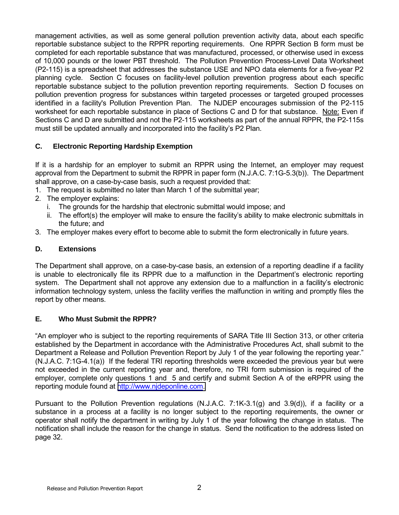management activities, as well as some general pollution prevention activity data, about each specific reportable substance subject to the RPPR reporting requirements. One RPPR Section B form must be completed for each reportable substance that was manufactured, processed, or otherwise used in excess of 10,000 pounds or the lower PBT threshold. The Pollution Prevention Process-Level Data Worksheet (P2-115) is a spreadsheet that addresses the substance USE and NPO data elements for a five-year P2 planning cycle. Section C focuses on facility-level pollution prevention progress about each specific reportable substance subject to the pollution prevention reporting requirements. Section D focuses on pollution prevention progress for substances within targeted processes or targeted grouped processes identified in a facility's Pollution Prevention Plan. The NJDEP encourages submission of the P2-115 worksheet for each reportable substance in place of Sections C and D for that substance. Note: Even if Sections C and D are submitted and not the P2-115 worksheets as part of the annual RPPR, the P2-115s must still be updated annually and incorporated into the facility's P2 Plan.

# **C. Electronic Reporting Hardship Exemption**

If it is a hardship for an employer to submit an RPPR using the Internet, an employer may request approval from the Department to submit the RPPR in paper form (N.J.A.C. 7:1G-5.3(b)). The Department shall approve, on a case-by-case basis, such a request provided that:

- 1. The request is submitted no later than March 1 of the submittal year;
- 2. The employer explains:
	- i. The grounds for the hardship that electronic submittal would impose; and
	- ii. The effort(s) the employer will make to ensure the facility's ability to make electronic submittals in the future; and
- 3. The employer makes every effort to become able to submit the form electronically in future years.

# **D. Extensions**

The Department shall approve, on a case-by-case basis, an extension of a reporting deadline if a facility is unable to electronically file its RPPR due to a malfunction in the Department's electronic reporting system. The Department shall not approve any extension due to a malfunction in a facility's electronic information technology system, unless the facility verifies the malfunction in writing and promptly files the report by other means.

# **E. Who Must Submit the RPPR?**

"An employer who is subject to the reporting requirements of SARA Title III Section 313, or other criteria established by the Department in accordance with the Administrative Procedures Act, shall submit to the Department a Release and Pollution Prevention Report by July 1 of the year following the reporting year." (N.J.A.C. 7:1G-4.1(a)) If the federal TRI reporting thresholds were exceeded the previous year but were not exceeded in the current reporting year and, therefore, no TRI form submission is required of the employer, complete only questions 1 and 5 and certify and submit Section A of the eRPPR using the reporting module found at [http://www.njdeponline.com.](http://www.njdeponline.com/)

Pursuant to the Pollution Prevention regulations (N.J.A.C. 7:1K-3.1(g) and 3.9(d)), if a facility or a substance in a process at a facility is no longer subject to the reporting requirements, the owner or operator shall notify the department in writing by July 1 of the year following the change in status. The notification shall include the reason for the change in status. Send the notification to the address listed on page 32.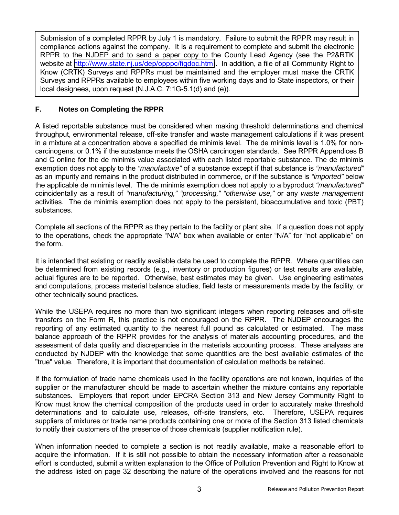Submission of a completed RPPR by July 1 is mandatory. Failure to submit the RPPR may result in compliance actions against the company. It is a requirement to complete and submit the electronic RPPR to the NJDEP and to send a paper copy to the County Lead Agency (see the P2&RTK website at [http://www.state.nj.us/dep/opppc/figdoc.htm\)](http://www.state.nj.us/dep/opppc/figdoc.htm). In addition, a file of all Community Right to Know (CRTK) Surveys and RPPRs must be maintained and the employer must make the CRTK Surveys and RPPRs available to employees within five working days and to State inspectors, or their local designees, upon request (N.J.A.C. 7:1G-5.1(d) and (e)).

# **F. Notes on Completing the RPPR**

A listed reportable substance must be considered when making threshold determinations and chemical throughput, environmental release, off-site transfer and waste management calculations if it was present in a mixture at a concentration above a specified de minimis level. The de minimis level is 1.0% for noncarcinogens, or 0.1% if the substance meets the OSHA carcinogen standards. See RPPR Appendices B and C online for the de minimis value associated with each listed reportable substance. The de minimis exemption does not apply to the *"manufacture"* of a substance except if that substance is *"manufactured"* as an impurity and remains in the product distributed in commerce, or if the substance is *"imported"* below the applicable de minimis level. The de minimis exemption does not apply to a byproduct *"manufactured"* coincidentally as a result of *"manufacturing," "processing," "otherwise use,"* or any *waste management* activities. The de minimis exemption does not apply to the persistent, bioaccumulative and toxic (PBT) substances.

Complete all sections of the RPPR as they pertain to the facility or plant site. If a question does not apply to the operations, check the appropriate "N/A" box when available or enter "N/A" for "not applicable" on the form.

It is intended that existing or readily available data be used to complete the RPPR. Where quantities can be determined from existing records (e.g., inventory or production figures) or test results are available, actual figures are to be reported. Otherwise, best estimates may be given. Use engineering estimates and computations, process material balance studies, field tests or measurements made by the facility, or other technically sound practices.

While the USEPA requires no more than two significant integers when reporting releases and off-site transfers on the Form R, this practice is not encouraged on the RPPR. The NJDEP encourages the reporting of any estimated quantity to the nearest full pound as calculated or estimated. The mass balance approach of the RPPR provides for the analysis of materials accounting procedures, and the assessment of data quality and discrepancies in the materials accounting process. These analyses are conducted by NJDEP with the knowledge that some quantities are the best available estimates of the "true" value. Therefore, it is important that documentation of calculation methods be retained.

If the formulation of trade name chemicals used in the facility operations are not known, inquiries of the supplier or the manufacturer should be made to ascertain whether the mixture contains any reportable substances. Employers that report under EPCRA Section 313 and New Jersey Community Right to Know must know the chemical composition of the products used in order to accurately make threshold determinations and to calculate use, releases, off-site transfers, etc. Therefore, USEPA requires suppliers of mixtures or trade name products containing one or more of the Section 313 listed chemicals to notify their customers of the presence of those chemicals (supplier notification rule).

When information needed to complete a section is not readily available, make a reasonable effort to acquire the information. If it is still not possible to obtain the necessary information after a reasonable effort is conducted, submit a written explanation to the Office of Pollution Prevention and Right to Know at the address listed on page 32 describing the nature of the operations involved and the reasons for not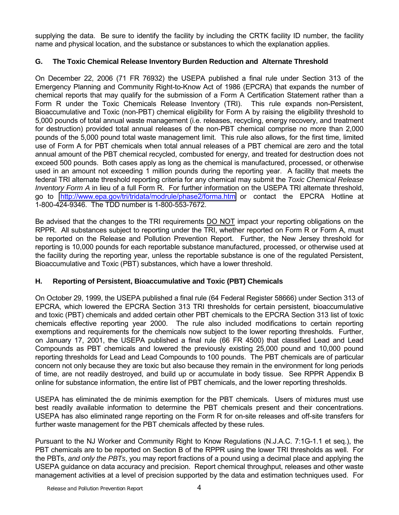supplying the data. Be sure to identify the facility by including the CRTK facility ID number, the facility name and physical location, and the substance or substances to which the explanation applies.

# **G. The Toxic Chemical Release Inventory Burden Reduction and Alternate Threshold**

On December 22, 2006 (71 FR 76932) the USEPA published a final rule under Section 313 of the Emergency Planning and Community Right-to-Know Act of 1986 (EPCRA) that expands the number of chemical reports that may qualify for the submission of a Form A Certification Statement rather than a Form R under the Toxic Chemicals Release Inventory (TRI). This rule expands non-Persistent, Bioaccumulative and Toxic (non-PBT) chemical eligibility for Form A by raising the eligibility threshold to 5,000 pounds of total annual waste management (i.e. releases, recycling, energy recovery, and treatment for destruction) provided total annual releases of the non-PBT chemical comprise no more than 2,000 pounds of the 5,000 pound total waste management limit. This rule also allows, for the first time, limited use of Form A for PBT chemicals when total annual releases of a PBT chemical are zero and the total annual amount of the PBT chemical recycled, combusted for energy, and treated for destruction does not exceed 500 pounds. Both cases apply as long as the chemical is manufactured, processed, or otherwise used in an amount not exceeding 1 million pounds during the reporting year. A facility that meets the federal TRI alternate threshold reporting criteria for any chemical may submit the *Toxic Chemical Release Inventory Form A* in lieu of a full Form R. For further information on the USEPA TRI alternate threshold, go to <http://www.epa.gov/tri/tridata/modrule/phase2/forma.htm>or contact the EPCRA Hotline at 1-800-424-9346. The TDD number is 1-800-553-7672.

Be advised that the changes to the TRI requirements **DO NOT** impact your reporting obligations on the RPPR. All substances subject to reporting under the TRI, whether reported on Form R or Form A, must be reported on the Release and Pollution Prevention Report. Further, the New Jersey threshold for reporting is 10,000 pounds for each reportable substance manufactured, processed, or otherwise used at the facility during the reporting year, unless the reportable substance is one of the regulated Persistent, Bioaccumulative and Toxic (PBT) substances, which have a lower threshold.

# **H. Reporting of Persistent, Bioaccumulative and Toxic (PBT) Chemicals**

On October 29, 1999, the USEPA published a final rule (64 Federal Register 58666) under Section 313 of EPCRA, which lowered the EPCRA Section 313 TRI thresholds for certain persistent, bioaccumulative and toxic (PBT) chemicals and added certain other PBT chemicals to the EPCRA Section 313 list of toxic chemicals effective reporting year 2000. The rule also included modifications to certain reporting exemptions and requirements for the chemicals now subject to the lower reporting thresholds. Further, on January 17, 2001, the USEPA published a final rule (66 FR 4500) that classified Lead and Lead Compounds as PBT chemicals and lowered the previously existing 25,000 pound and 10,000 pound reporting thresholds for Lead and Lead Compounds to 100 pounds. The PBT chemicals are of particular concern not only because they are toxic but also because they remain in the environment for long periods of time, are not readily destroyed, and build up or accumulate in body tissue. See RPPR Appendix B online for substance information, the entire list of PBT chemicals, and the lower reporting thresholds.

USEPA has eliminated the de minimis exemption for the PBT chemicals. Users of mixtures must use best readily available information to determine the PBT chemicals present and their concentrations. USEPA has also eliminated range reporting on the Form R for on-site releases and off-site transfers for further waste management for the PBT chemicals affected by these rules.

Pursuant to the NJ Worker and Community Right to Know Regulations (N.J.A.C. 7:1G-1.1 et seq.), the PBT chemicals are to be reported on Section B of the RPPR using the lower TRI thresholds as well. For the PBTs, *and only the PBTs*, you may report fractions of a pound using a decimal place and applying the USEPA guidance on data accuracy and precision. Report chemical throughput, releases and other waste management activities at a level of precision supported by the data and estimation techniques used. For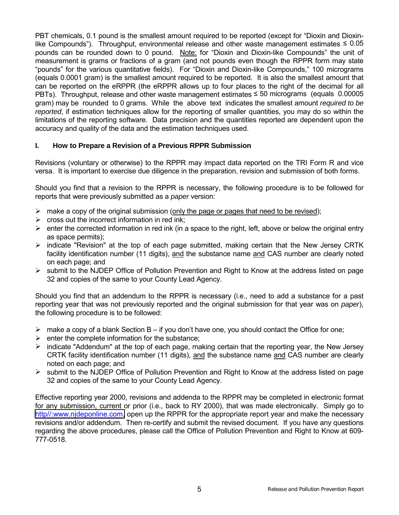PBT chemicals, 0.1 pound is the smallest amount required to be reported (except for "Dioxin and Dioxinlike Compounds"). Throughput, environmental release and other waste management estimates  $\leq 0.05$ pounds can be rounded down to 0 pound. Note: for "Dioxin and Dioxin-like Compounds" the unit of measurement is grams or fractions of a gram (and not pounds even though the RPPR form may state "pounds" for the various quantitative fields). For "Dioxin and Dioxin-like Compounds," 100 micrograms (equals 0.0001 gram) is the smallest amount required to be reported. It is also the smallest amount that can be reported on the eRPPR (the eRPPR allows up to four places to the right of the decimal for all PBTs). Throughput, release and other waste management estimates ≤ 50 micrograms (equals 0.00005 gram) may be rounded to 0 grams. While the above text indicates the smallest amount *required to be reported*, if estimation techniques allow for the reporting of smaller quantities, you may do so within the limitations of the reporting software. Data precision and the quantities reported are dependent upon the accuracy and quality of the data and the estimation techniques used.

#### **I. How to Prepare a Revision of a Previous RPPR Submission**

Revisions (voluntary or otherwise) to the RPPR may impact data reported on the TRI Form R and vice versa. It is important to exercise due diligence in the preparation, revision and submission of both forms.

Should you find that a revision to the RPPR is necessary, the following procedure is to be followed for reports that were previously submitted as a *paper* version:

- $\triangleright$  make a copy of the original submission (only the page or pages that need to be revised);
- $\triangleright$  cross out the incorrect information in red ink;
- $\triangleright$  enter the corrected information in red ink (in a space to the right, left, above or below the original entry as space permits);
- $\triangleright$  indicate "Revision" at the top of each page submitted, making certain that the New Jersey CRTK facility identification number (11 digits), and the substance name and CAS number are clearly noted on each page; and
- $\triangleright$  submit to the NJDEP Office of Pollution Prevention and Right to Know at the address listed on page 32 and copies of the same to your County Lead Agency.

Should you find that an addendum to the RPPR is necessary (i.e., need to add a substance for a past reporting year that was not previously reported and the original submission for that year was on *paper*), the following procedure is to be followed:

- $\triangleright$  make a copy of a blank Section B if you don't have one, you should contact the Office for one;
- $\triangleright$  enter the complete information for the substance;
- $\triangleright$  indicate "Addendum" at the top of each page, making certain that the reporting year, the New Jersey CRTK facility identification number (11 digits), and the substance name and CAS number are clearly noted on each page; and
- ! submit to the NJDEP Office of Pollution Prevention and Right to Know at the address listed on page 32 and copies of the same to your County Lead Agency.

Effective reporting year 2000, revisions and addenda to the RPPR may be completed in electronic format for any submission, current or prior (i.e., back to RY 2000), that was made electronically. Simply go to [http//:www.njdeponline.com,](http://www.njdeponline.com/) open up the RPPR for the appropriate report year and make the necessary revisions and/or addendum. Then re-certify and submit the revised document. If you have any questions regarding the above procedures, please call the Office of Pollution Prevention and Right to Know at 609- 777-0518.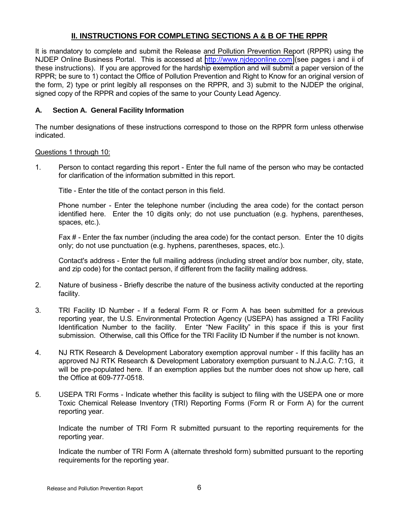# **II. INSTRUCTIONS FOR COMPLETING SECTIONS A & B OF THE RPPR**

It is mandatory to complete and submit the Release and Pollution Prevention Report (RPPR) using the NJDEP Online Business Portal. This is accessed at [http://www.njdeponline.com](http://www.njdeponline.com/) (see pages i and ii of these instructions). If you are approved for the hardship exemption and will submit a paper version of the RPPR; be sure to 1) contact the Office of Pollution Prevention and Right to Know for an original version of the form, 2) type or print legibly all responses on the RPPR, and 3) submit to the NJDEP the original, signed copy of the RPPR and copies of the same to your County Lead Agency.

#### **A. Section A. General Facility Information**

The number designations of these instructions correspond to those on the RPPR form unless otherwise indicated.

#### Questions 1 through 10:

1. Person to contact regarding this report - Enter the full name of the person who may be contacted for clarification of the information submitted in this report.

Title - Enter the title of the contact person in this field.

Phone number - Enter the telephone number (including the area code) for the contact person identified here. Enter the 10 digits only; do not use punctuation (e.g. hyphens, parentheses, spaces, etc.).

Fax # - Enter the fax number (including the area code) for the contact person. Enter the 10 digits only; do not use punctuation (e.g. hyphens, parentheses, spaces, etc.).

Contact's address - Enter the full mailing address (including street and/or box number, city, state, and zip code) for the contact person, if different from the facility mailing address.

- 2. Nature of business Briefly describe the nature of the business activity conducted at the reporting facility.
- 3. TRI Facility ID Number If a federal Form R or Form A has been submitted for a previous reporting year, the U.S. Environmental Protection Agency (USEPA) has assigned a TRI Facility Identification Number to the facility. Enter "New Facility" in this space if this is your first submission. Otherwise, call this Office for the TRI Facility ID Number if the number is not known.
- 4. NJ RTK Research & Development Laboratory exemption approval number If this facility has an approved NJ RTK Research & Development Laboratory exemption pursuant to N.J.A.C. 7:1G, it will be pre-populated here. If an exemption applies but the number does not show up here, call the Office at 609-777-0518.
- 5. USEPA TRI Forms Indicate whether this facility is subject to filing with the USEPA one or more Toxic Chemical Release Inventory (TRI) Reporting Forms (Form R or Form A) for the current reporting year.

Indicate the number of TRI Form R submitted pursuant to the reporting requirements for the reporting year.

Indicate the number of TRI Form A (alternate threshold form) submitted pursuant to the reporting requirements for the reporting year.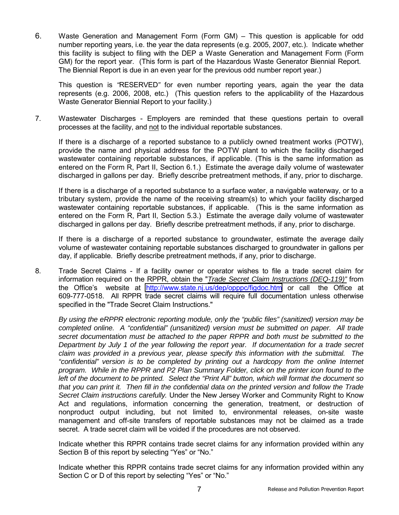6. Waste Generation and Management Form (Form GM) – This question is applicable for odd number reporting years, i.e. the year the data represents (e.g. 2005, 2007, etc.). Indicate whether this facility is subject to filing with the DEP a Waste Generation and Management Form (Form GM) for the report year. (This form is part of the Hazardous Waste Generator Biennial Report. The Biennial Report is due in an even year for the previous odd number report year.)

This question is *"*RESERVED*"* for even number reporting years, again the year the data represents (e.g. 2006, 2008, etc.) (This question refers to the applicability of the Hazardous Waste Generator Biennial Report to your facility.)

7. Wastewater Discharges - Employers are reminded that these questions pertain to overall processes at the facility, and not to the individual reportable substances.

If there is a discharge of a reported substance to a publicly owned treatment works (POTW), provide the name and physical address for the POTW plant to which the facility discharged wastewater containing reportable substances, if applicable. (This is the same information as entered on the Form R, Part II, Section 6.1.) Estimate the average daily volume of wastewater discharged in gallons per day. Briefly describe pretreatment methods, if any, prior to discharge.

If there is a discharge of a reported substance to a surface water, a navigable waterway, or to a tributary system, provide the name of the receiving stream(s) to which your facility discharged wastewater containing reportable substances, if applicable. (This is the same information as entered on the Form R, Part II, Section 5.3.) Estimate the average daily volume of wastewater discharged in gallons per day. Briefly describe pretreatment methods, if any, prior to discharge.

If there is a discharge of a reported substance to groundwater, estimate the average daily volume of wastewater containing reportable substances discharged to groundwater in gallons per day, if applicable. Briefly describe pretreatment methods, if any, prior to discharge.

8. Trade Secret Claims - If a facility owner or operator wishes to file a trade secret claim for information required on the RPPR, obtain the "*Trade Secret Claim Instructions (DEQ-119)"* from the Office's website at <http://www.state.nj.us/dep/opppc/figdoc.htm>or call the Office at 609-777-0518. All RPPR trade secret claims will require full documentation unless otherwise specified in the "Trade Secret Claim Instructions."

*By using the eRPPR electronic reporting module, only the "public files" (sanitized) version may be completed online. A "confidential" (unsanitized) version must be submitted on paper. All trade secret documentation must be attached to the paper RPPR and both must be submitted to the Department by July 1 of the year following the report year. If documentation for a trade secret claim was provided in a previous year, please specify this information with the submittal. The "confidential" version is to be completed by printing out a hardcopy from the online Internet program. While in the RPPR and P2 Plan Summary Folder, click on the printer icon found to the left of the document to be printed. Select the "Print All" button, which will format the document so that you can print it. Then fill in the confidential data on the printed version and follow the Trade Secret Claim instructions carefully.* Under the New Jersey Worker and Community Right to Know Act and regulations, information concerning the generation, treatment, or destruction of nonproduct output including, but not limited to, environmental releases, on-site waste management and off-site transfers of reportable substances may not be claimed as a trade secret. A trade secret claim will be voided if the procedures are not observed.

Indicate whether this RPPR contains trade secret claims for any information provided within any Section B of this report by selecting "Yes" or "No."

Indicate whether this RPPR contains trade secret claims for any information provided within any Section C or D of this report by selecting "Yes" or "No."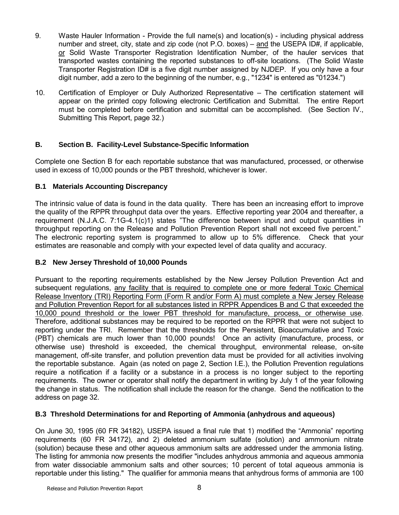- 9. Waste Hauler Information Provide the full name(s) and location(s) including physical address number and street, city, state and zip code (not P.O. boxes) – and the USEPA ID#, if applicable, or Solid Waste Transporter Registration Identification Number, of the hauler services that transported wastes containing the reported substances to off-site locations. (The Solid Waste Transporter Registration ID# is a five digit number assigned by NJDEP. If you only have a four digit number, add a zero to the beginning of the number, e.g., "1234" is entered as "01234.")
- 10. Certification of Employer or Duly Authorized Representative The certification statement will appear on the printed copy following electronic Certification and Submittal. The entire Report must be completed before certification and submittal can be accomplished. (See Section IV., Submitting This Report, page 32.)

### **B. Section B. Facility-Level Substance-Specific Information**

Complete one Section B for each reportable substance that was manufactured, processed, or otherwise used in excess of 10,000 pounds or the PBT threshold, whichever is lower.

### **B.1 Materials Accounting Discrepancy**

The intrinsic value of data is found in the data quality. There has been an increasing effort to improve the quality of the RPPR throughput data over the years. Effective reporting year 2004 and thereafter, a requirement (N.J.A.C. 7:1G-4.1(c)1) states "The difference between input and output quantities in throughput reporting on the Release and Pollution Prevention Report shall not exceed five percent." The electronic reporting system is programmed to allow up to 5% difference. Check that your estimates are reasonable and comply with your expected level of data quality and accuracy.

#### **B.2 New Jersey Threshold of 10,000 Pounds**

Pursuant to the reporting requirements established by the New Jersey Pollution Prevention Act and subsequent regulations, any facility that is required to complete one or more federal Toxic Chemical Release Inventory (TRI) Reporting Form (Form R and/or Form A) must complete a New Jersey Release and Pollution Prevention Report for all substances listed in RPPR Appendices B and C that exceeded the 10,000 pound threshold or the lower PBT threshold for manufacture, process, or otherwise use. Therefore, additional substances may be required to be reported on the RPPR that were not subject to reporting under the TRI. Remember that the thresholds for the Persistent, Bioaccumulative and Toxic (PBT) chemicals are much lower than 10,000 pounds! Once an activity (manufacture, process, or otherwise use) threshold is exceeded, the chemical throughput, environmental release, on-site management, off-site transfer, and pollution prevention data must be provided for all activities involving the reportable substance. Again (as noted on page 2, Section I.E.), the Pollution Prevention regulations require a notification if a facility or a substance in a process is no longer subject to the reporting requirements. The owner or operator shall notify the department in writing by July 1 of the year following the change in status. The notification shall include the reason for the change. Send the notification to the address on page 32.

#### **B.3 Threshold Determinations for and Reporting of Ammonia (anhydrous and aqueous)**

On June 30, 1995 (60 FR 34182), USEPA issued a final rule that 1) modified the "Ammonia" reporting requirements (60 FR 34172), and 2) deleted ammonium sulfate (solution) and ammonium nitrate (solution) because these and other aqueous ammonium salts are addressed under the ammonia listing. The listing for ammonia now presents the modifier "includes anhydrous ammonia and aqueous ammonia from water dissociable ammonium salts and other sources; 10 percent of total aqueous ammonia is reportable under this listing." The qualifier for ammonia means that anhydrous forms of ammonia are 100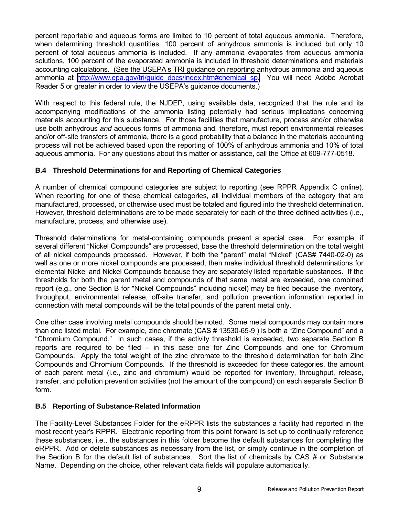percent reportable and aqueous forms are limited to 10 percent of total aqueous ammonia. Therefore, when determining threshold quantities, 100 percent of anhydrous ammonia is included but only 10 percent of total aqueous ammonia is included. If any ammonia evaporates from aqueous ammonia solutions, 100 percent of the evaporated ammonia is included in threshold determinations and materials accounting calculations. (See the USEPA's TRI guidance on reporting anhydrous ammonia and agueous ammonia at [http://www.epa.gov/tri/guide\\_docs/index.htm#chemical\\_sp.](http://www.epa.gov/tri/guide_docs/index.htm#chemical_sp) You will need Adobe Acrobat Reader 5 or greater in order to view the USEPA's guidance documents.)

With respect to this federal rule, the NJDEP, using available data, recognized that the rule and its accompanying modifications of the ammonia listing potentially had serious implications concerning materials accounting for this substance. For those facilities that manufacture, process and/or otherwise use both anhydrous *and* aqueous forms of ammonia and, therefore, must report environmental releases and/or off-site transfers of ammonia, there is a good probability that a balance in the materials accounting process will not be achieved based upon the reporting of 100% of anhydrous ammonia and 10% of total aqueous ammonia. For any questions about this matter or assistance, call the Office at 609-777-0518.

### **B.4 Threshold Determinations for and Reporting of Chemical Categories**

A number of chemical compound categories are subject to reporting (see RPPR Appendix C online). When reporting for one of these chemical categories, all individual members of the category that are manufactured, processed, or otherwise used must be totaled and figured into the threshold determination. However, threshold determinations are to be made separately for each of the three defined activities (i.e., manufacture, process, and otherwise use).

Threshold determinations for metal-containing compounds present a special case. For example, if several different "Nickel Compounds" are processed, base the threshold determination on the total weight of all nickel compounds processed. However, if both the "parent" metal "Nickel" (CAS# 7440-02-0) as well as one or more nickel compounds are processed, then make individual threshold determinations for elemental Nickel and Nickel Compounds because they are separately listed reportable substances. If the thresholds for both the parent metal and compounds of that same metal are exceeded, one combined report (e.g., one Section B for "Nickel Compoundsî including nickel) may be filed because the inventory, throughput, environmental release, off-site transfer, and pollution prevention information reported in connection with metal compounds will be the total pounds of the parent metal only.

One other case involving metal compounds should be noted. Some metal compounds may contain more than one listed metal. For example, zinc chromate  $(CAS # 13530-65-9)$  is both a "Zinc Compound" and a ìChromium Compound.î In such cases, if the activity threshold is exceeded, two separate Section B reports are required to be filed  $-$  in this case one for Zinc Compounds and one for Chromium Compounds. Apply the total weight of the zinc chromate to the threshold determination for both Zinc Compounds and Chromium Compounds. If the threshold is exceeded for these categories, the amount of each parent metal (i.e., zinc and chromium) would be reported for inventory, throughput, release, transfer, and pollution prevention activities (not the amount of the compound) on each separate Section B form.

#### **B.5 Reporting of Substance-Related Information**

The Facility-Level Substances Folder for the eRPPR lists the substances a facility had reported in the most recent year's RPPR. Electronic reporting from this point forward is set up to continually reference these substances, i.e., the substances in this folder become the default substances for completing the eRPPR. Add or delete substances as necessary from the list, or simply continue in the completion of the Section B for the default list of substances. Sort the list of chemicals by CAS # or Substance Name. Depending on the choice, other relevant data fields will populate automatically.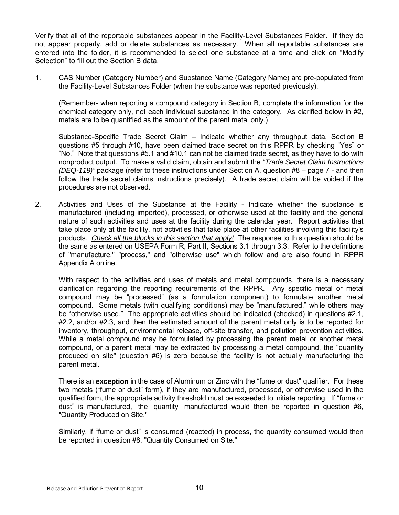Verify that all of the reportable substances appear in the Facility-Level Substances Folder. If they do not appear properly, add or delete substances as necessary. When all reportable substances are entered into the folder, it is recommended to select one substance at a time and click on "Modify" Selection" to fill out the Section B data.

1. CAS Number (Category Number) and Substance Name (Category Name) are pre-populated from the Facility-Level Substances Folder (when the substance was reported previously).

(Remember- when reporting a compound category in Section B, complete the information for the chemical category only, not each individual substance in the category. As clarified below in #2, metals are to be quantified as the amount of the parent metal only.)

Substance-Specific Trade Secret Claim  $-$  Indicate whether any throughput data, Section B questions #5 through #10, have been claimed trade secret on this RPPR by checking "Yes" or ìNo.î Note that questions #5.1 and #10.1 can not be claimed trade secret, as they have to do with nonproduct output. To make a valid claim, obtain and submit the *"Trade Secret Claim Instructions (DEQ-119)*" package (refer to these instructions under Section A, question #8 – page 7 - and then follow the trade secret claims instructions precisely). A trade secret claim will be voided if the procedures are not observed.

2. Activities and Uses of the Substance at the Facility - Indicate whether the substance is manufactured (including imported), processed, or otherwise used at the facility and the general nature of such activities and uses at the facility during the calendar year. Report activities that take place only at the facility, not activities that take place at other facilities involving this facilityís products. *Check all the blocks in this section that apply!* The response to this question should be the same as entered on USEPA Form R, Part II, Sections 3.1 through 3.3. Refer to the definitions of "manufacture," "process," and "otherwise use" which follow and are also found in RPPR Appendix A online.

With respect to the activities and uses of metals and metal compounds, there is a necessary clarification regarding the reporting requirements of the RPPR. Any specific metal or metal compound may be "processed" (as a formulation component) to formulate another metal compound. Some metals (with qualifying conditions) may be "manufactured," while others may be "otherwise used." The appropriate activities should be indicated (checked) in questions  $#2.1$ , #2.2, and/or #2.3, and then the estimated amount of the parent metal only is to be reported for inventory, throughput, environmental release, off-site transfer, and pollution prevention activities. While a metal compound may be formulated by processing the parent metal or another metal compound, or a parent metal may be extracted by processing a metal compound, the "quantity produced on site" (question #6) is zero because the facility is not actually manufacturing the parent metal.

There is an **exception** in the case of Aluminum or Zinc with the "fume or dust" qualifier. For these two metals ("fume or dust" form), if they are manufactured, processed, or otherwise used in the qualified form, the appropriate activity threshold must be exceeded to initiate reporting. If "fume or dustî is manufactured, the quantity manufactured would then be reported in question #6, "Quantity Produced on Site."

Similarly, if "fume or dust" is consumed (reacted) in process, the quantity consumed would then be reported in question #8, "Quantity Consumed on Site."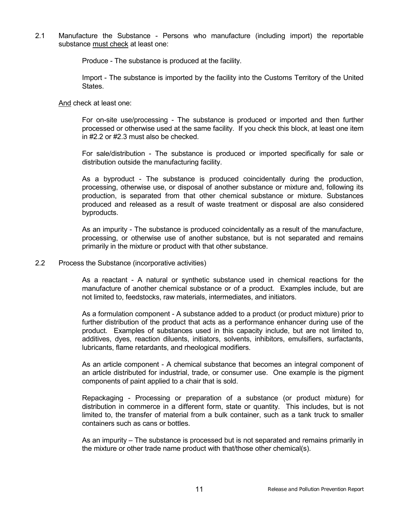2.1 Manufacture the Substance - Persons who manufacture (including import) the reportable substance must check at least one:

Produce - The substance is produced at the facility.

Import - The substance is imported by the facility into the Customs Territory of the United States.

And check at least one:

For on-site use/processing - The substance is produced or imported and then further processed or otherwise used at the same facility. If you check this block, at least one item in #2.2 or #2.3 must also be checked.

For sale/distribution - The substance is produced or imported specifically for sale or distribution outside the manufacturing facility.

As a byproduct - The substance is produced coincidentally during the production, processing, otherwise use, or disposal of another substance or mixture and, following its production, is separated from that other chemical substance or mixture. Substances produced and released as a result of waste treatment or disposal are also considered byproducts.

As an impurity - The substance is produced coincidentally as a result of the manufacture, processing, or otherwise use of another substance, but is not separated and remains primarily in the mixture or product with that other substance.

#### 2.2 Process the Substance (incorporative activities)

As a reactant - A natural or synthetic substance used in chemical reactions for the manufacture of another chemical substance or of a product. Examples include, but are not limited to, feedstocks, raw materials, intermediates, and initiators.

As a formulation component - A substance added to a product (or product mixture) prior to further distribution of the product that acts as a performance enhancer during use of the product. Examples of substances used in this capacity include, but are not limited to, additives, dyes, reaction diluents, initiators, solvents, inhibitors, emulsifiers, surfactants, lubricants, flame retardants, and rheological modifiers.

As an article component - A chemical substance that becomes an integral component of an article distributed for industrial, trade, or consumer use. One example is the pigment components of paint applied to a chair that is sold.

Repackaging - Processing or preparation of a substance (or product mixture) for distribution in commerce in a different form, state or quantity. This includes, but is not limited to, the transfer of material from a bulk container, such as a tank truck to smaller containers such as cans or bottles.

As an impurity – The substance is processed but is not separated and remains primarily in the mixture or other trade name product with that/those other chemical(s).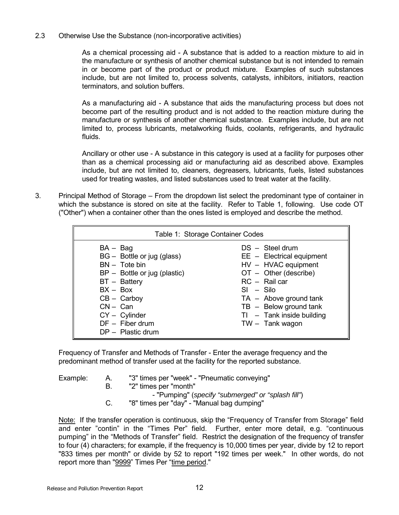#### 2.3 Otherwise Use the Substance (non-incorporative activities)

As a chemical processing aid - A substance that is added to a reaction mixture to aid in the manufacture or synthesis of another chemical substance but is not intended to remain in or become part of the product or product mixture. Examples of such substances include, but are not limited to, process solvents, catalysts, inhibitors, initiators, reaction terminators, and solution buffers.

As a manufacturing aid - A substance that aids the manufacturing process but does not become part of the resulting product and is not added to the reaction mixture during the manufacture or synthesis of another chemical substance. Examples include, but are not limited to, process lubricants, metalworking fluids, coolants, refrigerants, and hydraulic fluids.

Ancillary or other use - A substance in this category is used at a facility for purposes other than as a chemical processing aid or manufacturing aid as described above. Examples include, but are not limited to, cleaners, degreasers, lubricants, fuels, listed substances used for treating wastes, and listed substances used to treat water at the facility.

3. Principal Method of Storage – From the dropdown list select the predominant type of container in which the substance is stored on site at the facility. Refer to Table 1, following. Use code OT ("Other") when a container other than the ones listed is employed and describe the method.

|                                                                                                                                                                                                                                         | Table 1: Storage Container Codes                                                                                                                                                                                                                |
|-----------------------------------------------------------------------------------------------------------------------------------------------------------------------------------------------------------------------------------------|-------------------------------------------------------------------------------------------------------------------------------------------------------------------------------------------------------------------------------------------------|
| $BA - Bag$<br>BG - Bottle or jug (glass)<br>$BN - \text{Tote bin}$<br>$BP - Bottle$ or jug (plastic)<br>BT - Battery<br>$BX - Box$<br>$CB - \text{Carboy}$<br>$CN - Can$<br>$CY - Cylinder$<br>$DF -$ Fiber drum<br>$DP -$ Plastic drum | $DS - Steel$ drum<br>$EE$ – Electrical equipment<br>HV - HVAC equipment<br>$OT - Other$ (describe)<br>$RC -$ Rail car<br>$SI - Sil$<br>$TA -$ Above ground tank<br>$TB - Below ground tank$<br>$TI - Tank$ inside building<br>$TW -$ Tank wagon |

Frequency of Transfer and Methods of Transfer - Enter the average frequency and the predominant method of transfer used at the facility for the reported substance.

| Example: | "3" times per "week" - "Pneumatic conveying" |  |
|----------|----------------------------------------------|--|
|          | "2" times per "month"                        |  |

- "Pumping" (*specify "submerged" or "splash fill"*)
- C. "8" times per "day" "Manual bag dumping"

Note: If the transfer operation is continuous, skip the "Frequency of Transfer from Storage" field and enter "contin" in the "Times Per" field. Further, enter more detail, e.g. "continuous pumping" in the "Methods of Transfer" field. Restrict the designation of the frequency of transfer to four (4) characters; for example, if the frequency is 10,000 times per year, divide by 12 to report "833 times per month" or divide by 52 to report "192 times per week." In other words, do not report more than "9999" Times Per "time period."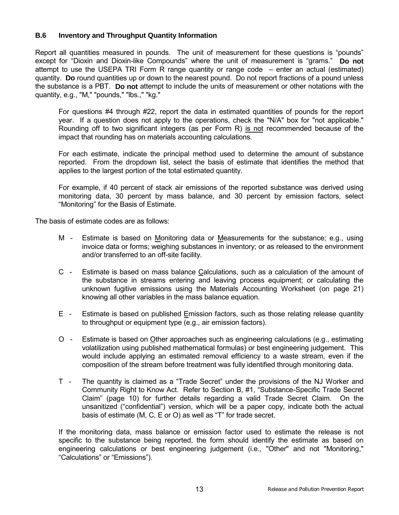#### **B.6 Inventory and Throughput Quantity Information**

Report all quantities measured in pounds. The unit of measurement for these questions is "pounds" except for "Dioxin and Dioxin-like Compounds" where the unit of measurement is "grams." Do not attempt to use the USEPA TRI Form R range quantity or range code  $-$  enter an actual (estimated) quantity. **Do** round quantities up or down to the nearest pound. Do not report fractions of a pound unless the substance is a PBT. **Do not** attempt to include the units of measurement or other notations with the quantity, e.g., "M," "pounds," "lbs.," "kg."

For questions #4 through #22, report the data in estimated quantities of pounds for the report year. If a question does not apply to the operations, check the "N/A" box for "not applicable." Rounding off to two significant integers (as per Form R) is not recommended because of the impact that rounding has on materials accounting calculations.

For each estimate, indicate the principal method used to determine the amount of substance reported. From the dropdown list, select the basis of estimate that identifies the method that applies to the largest portion of the total estimated quantity.

For example, if 40 percent of stack air emissions of the reported substance was derived using monitoring data, 30 percent by mass balance, and 30 percent by emission factors, select "Monitoring" for the Basis of Estimate.

The basis of estimate codes are as follows:

- M Estimate is based on Monitoring data or Measurements for the substance; e.g., using invoice data or forms; weighing substances in inventory; or as released to the environment and/or transferred to an off-site facility.
- C Estimate is based on mass balance Calculations, such as a calculation of the amount of the substance in streams entering and leaving process equipment; or calculating the unknown fugitive emissions using the Materials Accounting Worksheet (on page 21) knowing all other variables in the mass balance equation.
- E Estimate is based on published Emission factors, such as those relating release quantity to throughput or equipment type (e.g., air emission factors).
- O Estimate is based on Other approaches such as engineering calculations (e.g., estimating volatilization using published mathematical formulas) or best engineering judgement. This would include applying an estimated removal efficiency to a waste stream, even if the composition of the stream before treatment was fully identified through monitoring data.
- T The quantity is claimed as a "Trade Secret" under the provisions of the NJ Worker and Community Right to Know Act. Refer to Section B, #1, "Substance-Specific Trade Secret Claimî (page 10) for further details regarding a valid Trade Secret Claim. On the unsanitized ("confidential") version, which will be a paper copy, indicate both the actual basis of estimate (M, C, E or O) as well as "T" for trade secret.

If the monitoring data, mass balance or emission factor used to estimate the release is not specific to the substance being reported, the form should identify the estimate as based on engineering calculations or best engineering judgement (i.e., "Other" and not "Monitoring," "Calculations" or "Emissions").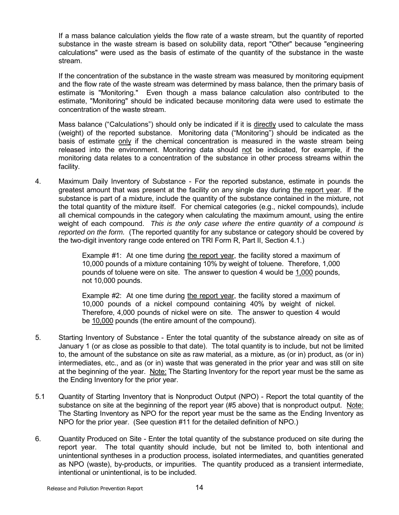If a mass balance calculation yields the flow rate of a waste stream, but the quantity of reported substance in the waste stream is based on solubility data, report "Other" because "engineering calculations" were used as the basis of estimate of the quantity of the substance in the waste stream.

If the concentration of the substance in the waste stream was measured by monitoring equipment and the flow rate of the waste stream was determined by mass balance, then the primary basis of estimate is "Monitoring." Even though a mass balance calculation also contributed to the estimate, "Monitoring" should be indicated because monitoring data were used to estimate the concentration of the waste stream.

Mass balance ("Calculations") should only be indicated if it is directly used to calculate the mass (weight) of the reported substance. Monitoring data ("Monitoring") should be indicated as the basis of estimate only if the chemical concentration is measured in the waste stream being released into the environment. Monitoring data should not be indicated, for example, if the monitoring data relates to a concentration of the substance in other process streams within the facility.

4. Maximum Daily Inventory of Substance - For the reported substance, estimate in pounds the greatest amount that was present at the facility on any single day during the report year. If the substance is part of a mixture, include the quantity of the substance contained in the mixture, not the total quantity of the mixture itself. For chemical categories (e.g., nickel compounds), include all chemical compounds in the category when calculating the maximum amount, using the entire weight of each compound. *This is the only case where the entire quantity of a compound is reported on the form.* (The reported quantity for any substance or category should be covered by the two-digit inventory range code entered on TRI Form R, Part II, Section 4.1.)

> Example #1: At one time during the report year, the facility stored a maximum of 10,000 pounds of a mixture containing 10% by weight of toluene. Therefore, 1,000 pounds of toluene were on site. The answer to question 4 would be 1,000 pounds, not 10,000 pounds.

> Example #2: At one time during the report year, the facility stored a maximum of 10,000 pounds of a nickel compound containing 40% by weight of nickel. Therefore, 4,000 pounds of nickel were on site. The answer to question 4 would be 10,000 pounds (the entire amount of the compound).

- 5. Starting Inventory of Substance Enter the total quantity of the substance already on site as of January 1 (or as close as possible to that date). The total quantity is to include, but not be limited to, the amount of the substance on site as raw material, as a mixture, as (or in) product, as (or in) intermediates, etc., and as (or in) waste that was generated in the prior year and was still on site at the beginning of the year. Note: The Starting Inventory for the report year must be the same as the Ending Inventory for the prior year.
- 5.1 Quantity of Starting Inventory that is Nonproduct Output (NPO) Report the total quantity of the substance on site at the beginning of the report year (#5 above) that is nonproduct output. Note: The Starting Inventory as NPO for the report year must be the same as the Ending Inventory as NPO for the prior year. (See question #11 for the detailed definition of NPO.)
- 6. Quantity Produced on Site Enter the total quantity of the substance produced on site during the report year. The total quantity should include, but not be limited to, both intentional and unintentional syntheses in a production process, isolated intermediates, and quantities generated as NPO (waste), by-products, or impurities. The quantity produced as a transient intermediate, intentional or unintentional, is to be included.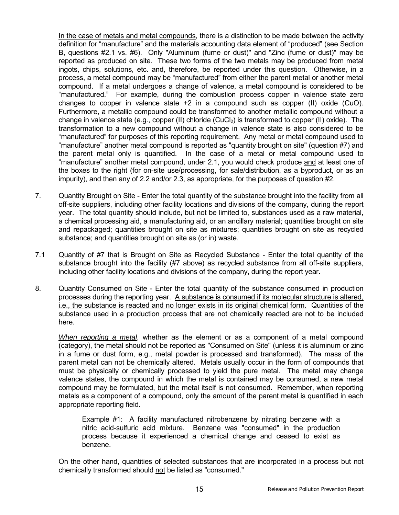In the case of metals and metal compounds, there is a distinction to be made between the activity definition for "manufacture" and the materials accounting data element of "produced" (see Section B, questions #2.1 vs. #6). Only "Aluminum (fume or dust)" and "Zinc (fume or dust)" may be reported as produced on site. These two forms of the two metals may be produced from metal ingots, chips, solutions, etc. and, therefore, be reported under this question. Otherwise, in a process, a metal compound may be "manufactured" from either the parent metal or another metal compound. If a metal undergoes a change of valence, a metal compound is considered to be ìmanufactured.î For example, during the combustion process copper in valence state zero changes to copper in valence state +2 in a compound such as copper (II) oxide (CuO). Furthermore, a metallic compound could be transformed to another metallic compound without a change in valence state (e.g., copper (II) chloride (CuCl<sub>2</sub>) is transformed to copper (II) oxide). The transformation to a new compound without a change in valence state is also considered to be ìmanufacturedî for purposes of this reporting requirement. Any metal or metal compound used to ìmanufactureî another metal compound is reported as "quantity brought on site" (question #7) and the parent metal only is quantified. In the case of a metal or metal compound used to ìmanufactureî another metal compound, under 2.1, you would check produce and at least one of the boxes to the right (for on-site use/processing, for sale/distribution, as a byproduct, or as an impurity), and then any of 2.2 and/or 2.3, as appropriate, for the purposes of question #2.

- 7. Quantity Brought on Site Enter the total quantity of the substance brought into the facility from all off-site suppliers, including other facility locations and divisions of the company, during the report year. The total quantity should include, but not be limited to, substances used as a raw material, a chemical processing aid, a manufacturing aid, or an ancillary material; quantities brought on site and repackaged; quantities brought on site as mixtures; quantities brought on site as recycled substance; and quantities brought on site as (or in) waste.
- 7.1 Quantity of #7 that is Brought on Site as Recycled Substance Enter the total quantity of the substance brought into the facility (#7 above) as recycled substance from all off-site suppliers, including other facility locations and divisions of the company, during the report year.
- 8. Quantity Consumed on Site Enter the total quantity of the substance consumed in production processes during the reporting year. A substance is consumed if its molecular structure is altered, i.e., the substance is reacted and no longer exists in its original chemical form. Quantities of the substance used in a production process that are not chemically reacted are not to be included here.

*When reporting a metal*, whether as the element or as a component of a metal compound (category), the metal should not be reported as "Consumed on Site" (unless it is aluminum or zinc in a fume or dust form, e.g., metal powder is processed and transformed). The mass of the parent metal can not be chemically altered. Metals usually occur in the form of compounds that must be physically or chemically processed to yield the pure metal. The metal may change valence states, the compound in which the metal is contained may be consumed, a new metal compound may be formulated, but the metal itself is not consumed. Remember, when reporting metals as a component of a compound, only the amount of the parent metal is quantified in each appropriate reporting field.

Example #1: A facility manufactured nitrobenzene by nitrating benzene with a nitric acid-sulfuric acid mixture. Benzene was "consumed" in the production process because it experienced a chemical change and ceased to exist as benzene.

On the other hand, quantities of selected substances that are incorporated in a process but not chemically transformed should not be listed as "consumed."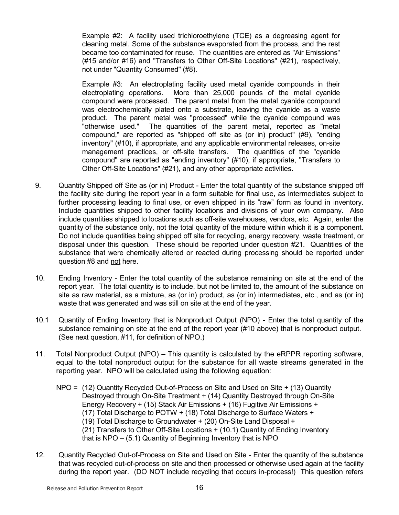Example #2: A facility used trichloroethylene (TCE) as a degreasing agent for cleaning metal. Some of the substance evaporated from the process, and the rest became too contaminated for reuse. The quantities are entered as "Air Emissions" (#15 and/or #16) and "Transfers to Other Off-Site Locations" (#21), respectively, not under "Quantity Consumed" (#8).

Example #3: An electroplating facility used metal cyanide compounds in their electroplating operations. More than 25,000 pounds of the metal cyanide compound were processed. The parent metal from the metal cyanide compound was electrochemically plated onto a substrate, leaving the cyanide as a waste product. The parent metal was "processed" while the cyanide compound was "otherwise used." The quantities of the parent metal, reported as "metal compound," are reported as "shipped off site as (or in) product" (#9), "ending inventory" (#10), if appropriate, and any applicable environmental releases, on-site management practices, or off-site transfers. The quantities of the "cyanide compound" are reported as "ending inventory" (#10), if appropriate, "Transfers to Other Off-Site Locations" (#21), and any other appropriate activities.

- 9. Quantity Shipped off Site as (or in) Product Enter the total quantity of the substance shipped off the facility site during the report year in a form suitable for final use, as intermediates subject to further processing leading to final use, or even shipped in its "raw" form as found in inventory. Include quantities shipped to other facility locations and divisions of your own company. Also include quantities shipped to locations such as off-site warehouses, vendors, etc. Again, enter the quantity of the substance only, not the total quantity of the mixture within which it is a component. Do not include quantities being shipped off site for recycling, energy recovery, waste treatment, or disposal under this question. These should be reported under question #21. Quantities of the substance that were chemically altered or reacted during processing should be reported under question #8 and not here.
- 10. Ending Inventory Enter the total quantity of the substance remaining on site at the end of the report year. The total quantity is to include, but not be limited to, the amount of the substance on site as raw material, as a mixture, as (or in) product, as (or in) intermediates, etc., and as (or in) waste that was generated and was still on site at the end of the year.
- 10.1 Quantity of Ending Inventory that is Nonproduct Output (NPO) Enter the total quantity of the substance remaining on site at the end of the report year (#10 above) that is nonproduct output. (See next question, #11, for definition of NPO.)
- 11. Total Nonproduct Output (NPO) This quantity is calculated by the eRPPR reporting software, equal to the total nonproduct output for the substance for all waste streams generated in the reporting year. NPO will be calculated using the following equation:
	- NPO = (12) Quantity Recycled Out-of-Process on Site and Used on Site + (13) Quantity Destroyed through On-Site Treatment + (14) Quantity Destroyed through On-Site Energy Recovery + (15) Stack Air Emissions + (16) Fugitive Air Emissions + (17) Total Discharge to POTW + (18) Total Discharge to Surface Waters + (19) Total Discharge to Groundwater + (20) On-Site Land Disposal + (21) Transfers to Other Off-Site Locations + (10.1) Quantity of Ending Inventory that is  $NPO - (5.1)$  Quantity of Beginning Inventory that is  $NPO$
- 12. Quantity Recycled Out-of-Process on Site and Used on Site Enter the quantity of the substance that was recycled out-of-process on site and then processed or otherwise used again at the facility during the report year. (DO NOT include recycling that occurs in-process!) This question refers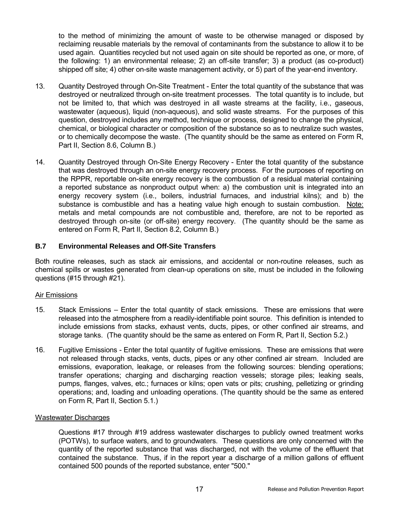to the method of minimizing the amount of waste to be otherwise managed or disposed by reclaiming reusable materials by the removal of contaminants from the substance to allow it to be used again. Quantities recycled but not used again on site should be reported as one, or more, of the following: 1) an environmental release; 2) an off-site transfer; 3) a product (as co-product) shipped off site; 4) other on-site waste management activity, or 5) part of the year-end inventory.

- 13. Quantity Destroyed through On-Site Treatment Enter the total quantity of the substance that was destroyed or neutralized through on-site treatment processes. The total quantity is to include, but not be limited to, that which was destroyed in all waste streams at the facility, i.e., gaseous, wastewater (aqueous), liquid (non-aqueous), and solid waste streams. For the purposes of this question, destroyed includes any method, technique or process, designed to change the physical, chemical, or biological character or composition of the substance so as to neutralize such wastes, or to chemically decompose the waste. (The quantity should be the same as entered on Form R, Part II, Section 8.6, Column B.)
- 14. Quantity Destroyed through On-Site Energy Recovery Enter the total quantity of the substance that was destroyed through an on-site energy recovery process. For the purposes of reporting on the RPPR, reportable on-site energy recovery is the combustion of a residual material containing a reported substance as nonproduct output when: a) the combustion unit is integrated into an energy recovery system (i.e., boilers, industrial furnaces, and industrial kilns); and b) the substance is combustible and has a heating value high enough to sustain combustion. Note: metals and metal compounds are not combustible and, therefore, are not to be reported as destroyed through on-site (or off-site) energy recovery. (The quantity should be the same as entered on Form R, Part II, Section 8.2, Column B.)

#### **B.7 Environmental Releases and Off-Site Transfers**

Both routine releases, such as stack air emissions, and accidental or non-routine releases, such as chemical spills or wastes generated from clean-up operations on site, must be included in the following questions (#15 through #21).

#### Air Emissions

- 15. Stack Emissions Enter the total quantity of stack emissions. These are emissions that were released into the atmosphere from a readily-identifiable point source. This definition is intended to include emissions from stacks, exhaust vents, ducts, pipes, or other confined air streams, and storage tanks. (The quantity should be the same as entered on Form R, Part II, Section 5.2.)
- 16. Fugitive Emissions Enter the total quantity of fugitive emissions. These are emissions that were not released through stacks, vents, ducts, pipes or any other confined air stream. Included are emissions, evaporation, leakage, or releases from the following sources: blending operations; transfer operations; charging and discharging reaction vessels; storage piles; leaking seals, pumps, flanges, valves, etc.; furnaces or kilns; open vats or pits; crushing, pelletizing or grinding operations; and, loading and unloading operations. (The quantity should be the same as entered on Form R, Part II, Section 5.1.)

#### Wastewater Discharges

Questions #17 through #19 address wastewater discharges to publicly owned treatment works (POTWs), to surface waters, and to groundwaters. These questions are only concerned with the quantity of the reported substance that was discharged, not with the volume of the effluent that contained the substance. Thus, if in the report year a discharge of a million gallons of effluent contained 500 pounds of the reported substance, enter "500."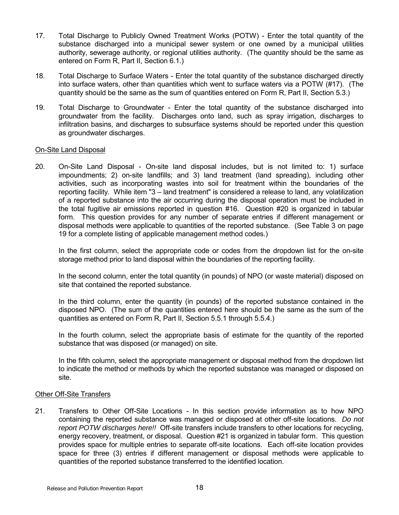- 17. Total Discharge to Publicly Owned Treatment Works (POTW) Enter the total quantity of the substance discharged into a municipal sewer system or one owned by a municipal utilities authority, sewerage authority, or regional utilities authority. (The quantity should be the same as entered on Form R, Part II, Section 6.1.)
- 18. Total Discharge to Surface Waters Enter the total quantity of the substance discharged directly into surface waters, other than quantities which went to surface waters via a POTW (#17). (The quantity should be the same as the sum of quantities entered on Form R, Part II, Section 5.3.)
- 19. Total Discharge to Groundwater Enter the total quantity of the substance discharged into groundwater from the facility. Discharges onto land, such as spray irrigation, discharges to infiltration basins, and discharges to subsurface systems should be reported under this question as groundwater discharges.

#### On-Site Land Disposal

20. On-Site Land Disposal - On-site land disposal includes, but is not limited to: 1) surface impoundments; 2) on-site landfills; and 3) land treatment (land spreading), including other activities, such as incorporating wastes into soil for treatment within the boundaries of the reporting facility. While item "3 – land treatment" is considered a release to land, any volatilization of a reported substance into the air occurring during the disposal operation must be included in the total fugitive air emissions reported in question #16. Question #20 is organized in tabular form. This question provides for any number of separate entries if different management or disposal methods were applicable to quantities of the reported substance. (See Table 3 on page 19 for a complete listing of applicable management method codes.)

In the first column, select the appropriate code or codes from the dropdown list for the on-site storage method prior to land disposal within the boundaries of the reporting facility.

In the second column, enter the total quantity (in pounds) of NPO (or waste material) disposed on site that contained the reported substance.

In the third column, enter the quantity (in pounds) of the reported substance contained in the disposed NPO. (The sum of the quantities entered here should be the same as the sum of the quantities as entered on Form R, Part II, Section 5.5.1 through 5.5.4.)

In the fourth column, select the appropriate basis of estimate for the quantity of the reported substance that was disposed (or managed) on site.

In the fifth column, select the appropriate management or disposal method from the dropdown list to indicate the method or methods by which the reported substance was managed or disposed on site.

## Other Off-Site Transfers

21. Transfers to Other Off-Site Locations - In this section provide information as to how NPO containing the reported substance was managed or disposed at other off-site locations. *Do not report POTW discharges here!!* Off-site transfers include transfers to other locations for recycling, energy recovery, treatment, or disposal. Question #21 is organized in tabular form. This question provides space for multiple entries to separate off-site locations. Each off-site location provides space for three (3) entries if different management or disposal methods were applicable to quantities of the reported substance transferred to the identified location.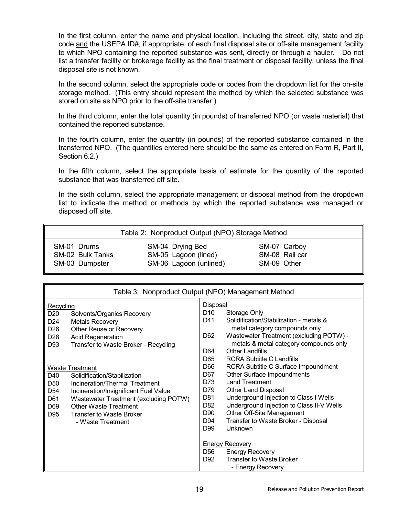In the first column, enter the name and physical location, including the street, city, state and zip code and the USEPA ID#, if appropriate, of each final disposal site or off-site management facility to which NPO containing the reported substance was sent, directly or through a hauler. Do not list a transfer facility or brokerage facility as the final treatment or disposal facility, unless the final disposal site is not known.

In the second column, select the appropriate code or codes from the dropdown list for the on-site storage method. (This entry should represent the method by which the selected substance was stored on site as NPO prior to the off-site transfer.)

In the third column, enter the total quantity (in pounds) of transferred NPO (or waste material) that contained the reported substance.

In the fourth column, enter the quantity (in pounds) of the reported substance contained in the transferred NPO. (The quantities entered here should be the same as entered on Form R, Part II, Section 6.2.)

In the fifth column, select the appropriate basis of estimate for the quantity of the reported substance that was transferred off site.

In the sixth column, select the appropriate management or disposal method from the dropdown list to indicate the method or methods by which the reported substance was managed or disposed off site.

| Table 2: Nonproduct Output (NPO) Storage Method |                        |                |  |  |  |  |  |  |  |
|-------------------------------------------------|------------------------|----------------|--|--|--|--|--|--|--|
| SM-01 Drums                                     | SM-04 Drying Bed       | SM-07 Carboy   |  |  |  |  |  |  |  |
| SM-02 Bulk Tanks                                | SM-05 Lagoon (lined)   | SM-08 Rail car |  |  |  |  |  |  |  |
| SM-03 Dumpster                                  | SM-06 Lagoon (unlined) | SM-09 Other    |  |  |  |  |  |  |  |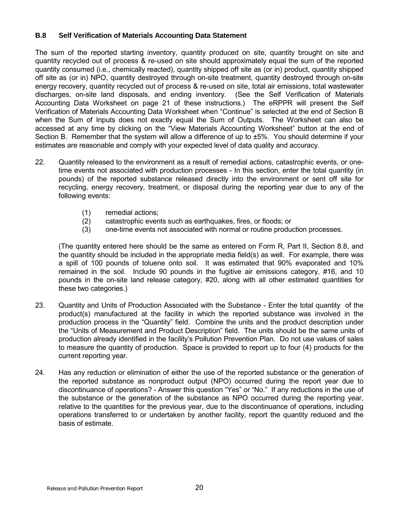## **B.8 Self Verification of Materials Accounting Data Statement**

The sum of the reported starting inventory, quantity produced on site, quantity brought on site and quantity recycled out of process & re-used on site should approximately equal the sum of the reported quantity consumed (i.e., chemically reacted), quantity shipped off site as (or in) product, quantity shipped off site as (or in) NPO, quantity destroyed through on-site treatment, quantity destroyed through on-site energy recovery, quantity recycled out of process & re-used on site, total air emissions, total wastewater discharges, on-site land disposals, and ending inventory. (See the Self Verification of Materials Accounting Data Worksheet on page 21 of these instructions.) The eRPPR will present the Self Verification of Materials Accounting Data Worksheet when "Continue" is selected at the end of Section B when the Sum of Inputs does not exactly equal the Sum of Outputs. The Worksheet can also be accessed at any time by clicking on the "View Materials Accounting Worksheet" button at the end of Section B. Remember that the system will allow a difference of up to ±5%. You should determine if your estimates are reasonable and comply with your expected level of data quality and accuracy.

- 22. Quantity released to the environment as a result of remedial actions, catastrophic events, or onetime events not associated with production processes - In this section, enter the total quantity (in pounds) of the reported substance released directly into the environment or sent off site for recycling, energy recovery, treatment, or disposal during the reporting year due to any of the following events:
	- (1) remedial actions;
	- (2) catastrophic events such as earthquakes, fires, or floods; or
	- (3) one-time events not associated with normal or routine production processes.

(The quantity entered here should be the same as entered on Form R, Part II, Section 8.8, and the quantity should be included in the appropriate media field(s) as well. For example, there was a spill of 100 pounds of toluene onto soil. It was estimated that 90% evaporated and 10% remained in the soil. Include 90 pounds in the fugitive air emissions category, #16, and 10 pounds in the on-site land release category, #20, along with all other estimated quantities for these two categories.)

- 23. Quantity and Units of Production Associated with the Substance Enter the total quantity of the product(s) manufactured at the facility in which the reported substance was involved in the production process in the "Quantity" field. Combine the units and the product description under the "Units of Measurement and Product Description" field. The units should be the same units of production already identified in the facilityís Pollution Prevention Plan. Do not use values of sales to measure the quantity of production. Space is provided to report up to four (4) products for the current reporting year.
- 24. Has any reduction or elimination of either the use of the reported substance or the generation of the reported substance as nonproduct output (NPO) occurred during the report year due to discontinuance of operations? - Answer this question "Yes" or "No." If any reductions in the use of the substance or the generation of the substance as NPO occurred during the reporting year, relative to the quantities for the previous year, due to the discontinuance of operations, including operations transferred to or undertaken by another facility, report the quantity reduced and the basis of estimate.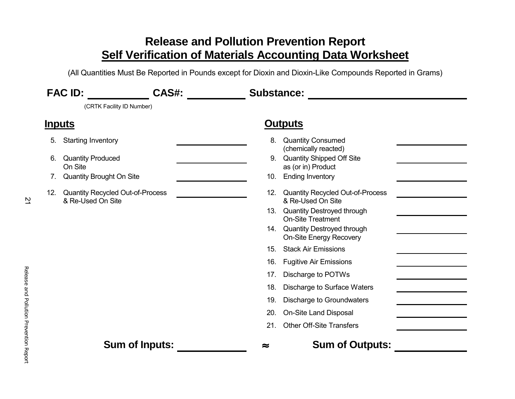# **Release and Pollution Prevention Report Self Verification of Materials Accounting Data Worksheet**

(All Quantities Must Be Reported in Pounds except for Dioxin and Dioxin-Like Compounds Reported in Grams)

| <b>FAC ID:</b><br>CAS#: |                                                                                                                                                              | <b>Substance:</b> |                                        |                                                                                                                                                                                                                                                                                                                                                                |  |
|-------------------------|--------------------------------------------------------------------------------------------------------------------------------------------------------------|-------------------|----------------------------------------|----------------------------------------------------------------------------------------------------------------------------------------------------------------------------------------------------------------------------------------------------------------------------------------------------------------------------------------------------------------|--|
|                         | (CRTK Facility ID Number)                                                                                                                                    |                   |                                        |                                                                                                                                                                                                                                                                                                                                                                |  |
|                         | <u>Inputs</u>                                                                                                                                                |                   |                                        | <b>Outputs</b>                                                                                                                                                                                                                                                                                                                                                 |  |
| 5.<br>6.<br>7.<br>12.   | <b>Starting Inventory</b><br><b>Quantity Produced</b><br>On Site<br>Quantity Brought On Site<br><b>Quantity Recycled Out-of-Process</b><br>& Re-Used On Site |                   | 8.<br>10.<br>15.                       | <b>Quantity Consumed</b><br>(chemically reacted)<br>9. Quantity Shipped Off Site<br>as (or in) Product<br><b>Ending Inventory</b><br>12. Quantity Recycled Out-of-Process<br>& Re-Used On Site<br>13. Quantity Destroyed through<br><b>On-Site Treatment</b><br>14. Quantity Destroyed through<br><b>On-Site Energy Recovery</b><br><b>Stack Air Emissions</b> |  |
|                         |                                                                                                                                                              |                   | 16.<br>17.<br>18.<br>19.<br>20.<br>21. | <b>Fugitive Air Emissions</b><br>Discharge to POTWs<br>Discharge to Surface Waters<br>Discharge to Groundwaters<br>On-Site Land Disposal<br><b>Other Off-Site Transfers</b>                                                                                                                                                                                    |  |
|                         | <b>Sum of Inputs:</b>                                                                                                                                        |                   | ≈                                      | <b>Sum of Outputs:</b>                                                                                                                                                                                                                                                                                                                                         |  |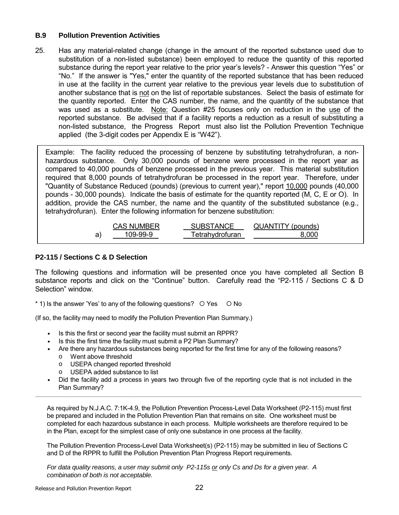#### **B.9 Pollution Prevention Activities**

25. Has any material-related change (change in the amount of the reported substance used due to substitution of a non-listed substance) been employed to reduce the quantity of this reported substance during the report year relative to the prior year's levels? - Answer this question "Yes" or ìNo.î If the answer is "Yes," enter the quantity of the reported substance that has been reduced in use at the facility in the current year relative to the previous year levels due to substitution of another substance that is not on the list of reportable substances. Select the basis of estimate for the quantity reported. Enter the CAS number, the name, and the quantity of the substance that was used as a substitute. Note: Question #25 focuses only on reduction in the use of the reported substance. Be advised that if a facility reports a reduction as a result of substituting a non-listed substance, the Progress Report must also list the Pollution Prevention Technique applied (the 3-digit codes per Appendix  $E$  is "W42").

Example: The facility reduced the processing of benzene by substituting tetrahydrofuran, a nonhazardous substance. Only 30,000 pounds of benzene were processed in the report year as compared to 40,000 pounds of benzene processed in the previous year. This material substitution required that 8,000 pounds of tetrahydrofuran be processed in the report year. Therefore, under "Quantity of Substance Reduced (pounds) (previous to current year)," report 10,000 pounds (40,000 pounds - 30,000 pounds). Indicate the basis of estimate for the quantity reported (M, C, E or O). In addition, provide the CAS number, the name and the quantity of the substituted substance (e.g., tetrahydrofuran). Enter the following information for benzene substitution:

| <b>CAS NUMBER</b> | <b>SUBSTANCE</b> | <b>QUANTITY</b> (pounds) |
|-------------------|------------------|--------------------------|
| 109-99-9          | Tetrahydrofuran  | 8 UUU                    |

# **P2-115 / Sections C & D Selection**

The following questions and information will be presented once you have completed all Section B substance reports and click on the "Continue" button. Carefully read the "P2-115 / Sections C & D Selection<sup>"</sup> window.

 $*$  1) Is the answer 'Yes' to any of the following questions?  $\circ$  Yes  $\circ$  No

(If so, the facility may need to modify the Pollution Prevention Plan Summary.)

- Is this the first or second year the facility must submit an RPPR?
- Is this the first time the facility must submit a P2 Plan Summary?
- Are there any hazardous substances being reported for the first time for any of the following reasons?
	- o Went above threshold
	- o USEPA changed reported threshold
	- o USEPA added substance to list
- Did the facility add a process in years two through five of the reporting cycle that is not included in the Plan Summary? **\_\_\_\_\_\_\_\_\_\_\_\_\_\_\_\_\_\_\_\_\_\_\_\_\_\_\_\_\_\_\_\_\_\_\_\_\_\_\_\_\_\_\_\_\_\_\_\_\_\_\_\_\_\_\_\_\_\_\_\_\_\_\_\_\_\_\_\_\_\_\_\_\_\_\_\_\_\_\_\_\_\_\_\_\_\_\_\_\_\_\_\_\_\_\_\_\_\_\_\_\_\_\_\_\_\_\_\_\_\_\_\_\_\_\_\_**

As required by N.J.A.C. 7:1K-4.9, the Pollution Prevention Process-Level Data Worksheet (P2-115) must first be prepared and included in the Pollution Prevention Plan that remains on site. One worksheet must be completed for each hazardous substance in each process. Multiple worksheets are therefore required to be in the Plan, except for the simplest case of only one substance in one process at the facility.

The Pollution Prevention Process-Level Data Worksheet(s) (P2-115) may be submitted in lieu of Sections C and D of the RPPR to fulfill the Pollution Prevention Plan Progress Report requirements.

*For data quality reasons, a user may submit only P2-115s or only Cs and Ds for a given year. A combination of both is not acceptable.*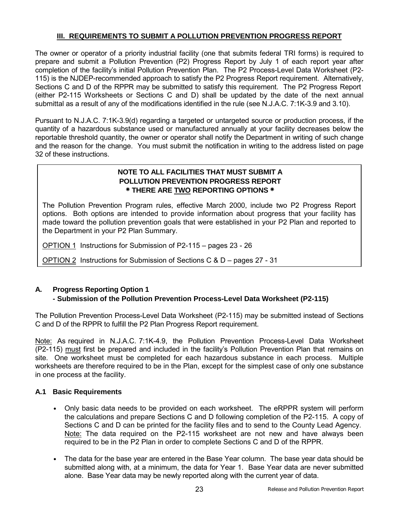# **III. REQUIREMENTS TO SUBMIT A POLLUTION PREVENTION PROGRESS REPORT**

The owner or operator of a priority industrial facility (one that submits federal TRI forms) is required to prepare and submit a Pollution Prevention (P2) Progress Report by July 1 of each report year after completion of the facilityís initial Pollution Prevention Plan. The P2 Process-Level Data Worksheet (P2- 115) is the NJDEP-recommended approach to satisfy the P2 Progress Report requirement. Alternatively, Sections C and D of the RPPR may be submitted to satisfy this requirement. The P2 Progress Report (either P2-115 Worksheets or Sections C and D) shall be updated by the date of the next annual submittal as a result of any of the modifications identified in the rule (see N.J.A.C. 7:1K-3.9 and 3.10).

Pursuant to N.J.A.C. 7:1K-3.9(d) regarding a targeted or untargeted source or production process, if the quantity of a hazardous substance used or manufactured annually at your facility decreases below the reportable threshold quantity, the owner or operator shall notify the Department in writing of such change and the reason for the change. You must submit the notification in writing to the address listed on page 32 of these instructions.

# **NOTE TO ALL FACILITIES THAT MUST SUBMIT A POLLUTION PREVENTION PROGRESS REPORT ٭ THERE ARE TWO REPORTING OPTIONS ٭**

The Pollution Prevention Program rules, effective March 2000, include two P2 Progress Report options. Both options are intended to provide information about progress that your facility has made toward the pollution prevention goals that were established in your P2 Plan and reported to the Department in your P2 Plan Summary.

OPTION 1 Instructions for Submission of P2-115 – pages 23 - 26

OPTION 2 Instructions for Submission of Sections C &  $D -$  pages 27 - 31

# **A. Progress Reporting Option 1**

# **- Submission of the Pollution Prevention Process-Level Data Worksheet (P2-115)**

The Pollution Prevention Process-Level Data Worksheet (P2-115) may be submitted instead of Sections C and D of the RPPR to fulfill the P2 Plan Progress Report requirement.

Note: As required in N.J.A.C. 7:1K-4.9, the Pollution Prevention Process-Level Data Worksheet (P2-115) must first be prepared and included in the facilityís Pollution Prevention Plan that remains on site. One worksheet must be completed for each hazardous substance in each process. Multiple worksheets are therefore required to be in the Plan, except for the simplest case of only one substance in one process at the facility.

#### **A.1 Basic Requirements**

- Only basic data needs to be provided on each worksheet. The eRPPR system will perform the calculations and prepare Sections C and D following completion of the P2-115. A copy of Sections C and D can be printed for the facility files and to send to the County Lead Agency. Note: The data required on the P2-115 worksheet are not new and have always been required to be in the P2 Plan in order to complete Sections C and D of the RPPR.
- The data for the base year are entered in the Base Year column. The base year data should be submitted along with, at a minimum, the data for Year 1. Base Year data are never submitted alone. Base Year data may be newly reported along with the current year of data.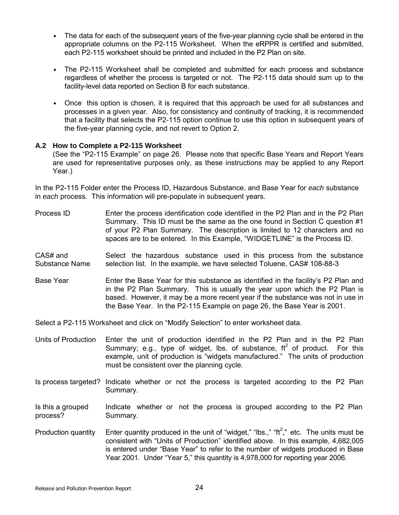- The data for each of the subsequent years of the five-year planning cycle shall be entered in the appropriate columns on the P2-115 Worksheet. When the eRPPR is certified and submitted, each P2-115 worksheet should be printed and included in the P2 Plan on site.
- The P2-115 Worksheet shall be completed and submitted for each process and substance regardless of whether the process is targeted or not. The P2-115 data should sum up to the facility-level data reported on Section B for each substance.
- Once this option is chosen, it is required that this approach be used for all substances and processes in a given year. Also, for consistency and continuity of tracking, it is recommended that a facility that selects the P2-115 option continue to use this option in subsequent years of the five-year planning cycle, and not revert to Option 2.

#### **A.2 How to Complete a P2-115 Worksheet**

(See the "P2-115 Example" on page 26. Please note that specific Base Years and Report Years are used for representative purposes only, as these instructions may be applied to any Report Year.)

In the P2-115 Folder enter the Process ID, Hazardous Substance, and Base Year for *each* substance in *each* process. This information will pre-populate in subsequent years.

- Process ID Enter the process identification code identified in the P2 Plan and in the P2 Plan Summary. This ID must be the same as the one found in Section C question #1 of your P2 Plan Summary. The description is limited to 12 characters and no spaces are to be entered. In this Example, "WIDGETLINE" is the Process ID.
- CAS# and Select the hazardous substance used in this process from the substance Substance Name selection list. In the example, we have selected Toluene, CAS# 108-88-3
- Base Year Enter the Base Year for this substance as identified in the facility's P2 Plan and in the P2 Plan Summary. This is usually the year upon which the P2 Plan is based. However, it may be a more recent year if the substance was not in use in the Base Year. In the P2-115 Example on page 26, the Base Year is 2001.

Select a P2-115 Worksheet and click on "Modify Selection" to enter worksheet data.

- Units of Production Enter the unit of production identified in the P2 Plan and in the P2 Plan Summary; e.g., type of widget, lbs. of substance,  $ft^2$  of product. For this example, unit of production is "widgets manufactured." The units of production must be consistent over the planning cycle.
- Is process targeted? Indicate whether or not the process is targeted according to the P2 Plan Summary.
- Is this a grouped Indicate whether or not the process is grouped according to the P2 Plan process? Summary.
- Production quantity Enter quantity produced in the unit of "widget," "lbs.," "ft<sup>2</sup>," etc. The units must be consistent with "Units of Production" identified above. In this example, 4,682,005 is entered under "Base Year" to refer to the number of widgets produced in Base Year 2001. Under "Year 5," this quantity is 4,978,000 for reporting year 2006.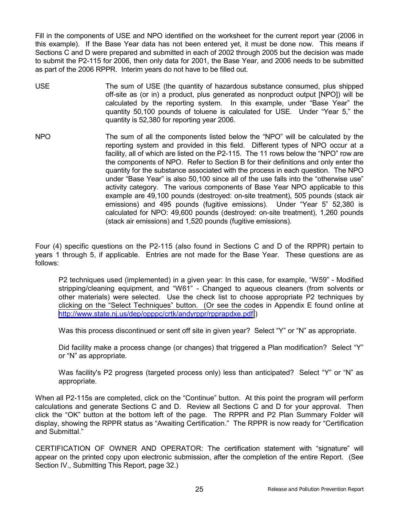Fill in the components of USE and NPO identified on the worksheet for the current report year (2006 in this example). If the Base Year data has not been entered yet, it must be done now. This means if Sections C and D were prepared and submitted in each of 2002 through 2005 but the decision was made to submit the P2-115 for 2006, then only data for 2001, the Base Year, and 2006 needs to be submitted as part of the 2006 RPPR. Interim years do not have to be filled out.

- USE The sum of USE (the quantity of hazardous substance consumed, plus shipped off-site as (or in) a product, plus generated as nonproduct output [NPO]) will be calculated by the reporting system. In this example, under "Base Year" the quantity 50,100 pounds of toluene is calculated for USE. Under "Year 5," the quantity is 52,380 for reporting year 2006.
- NPO The sum of all the components listed below the "NPO" will be calculated by the reporting system and provided in this field. Different types of NPO occur at a facility, all of which are listed on the P2-115. The 11 rows below the "NPO" row are the components of NPO. Refer to Section B for their definitions and only enter the quantity for the substance associated with the process in each question. The NPO under "Base Year" is also 50,100 since all of the use falls into the "otherwise use" activity category. The various components of Base Year NPO applicable to this example are 49,100 pounds (destroyed: on-site treatment), 505 pounds (stack air emissions) and 495 pounds (fugitive emissions). Under "Year 5" 52,380 is calculated for NPO: 49,600 pounds (destroyed: on-site treatment), 1,260 pounds (stack air emissions) and 1,520 pounds (fugitive emissions).

Four (4) specific questions on the P2-115 (also found in Sections C and D of the RPPR) pertain to years 1 through 5, if applicable. Entries are not made for the Base Year. These questions are as follows:

P2 techniques used (implemented) in a given year: In this case, for example, "W59" - Modified stripping/cleaning equipment, and "W61" - Changed to aqueous cleaners (from solvents or other materials) were selected. Use the check list to choose appropriate P2 techniques by clicking on the "Select Techniques" button. (Or see the codes in Appendix  $E$  found online at [http://www.state.nj.us/dep/opppc/crtk/andyrppr/rpprapdxe.pdf.](http://www.state.nj.us/dep/opppc/crtk/andyrppr/rpprapdxe.pdf))

Was this process discontinued or sent off site in given year? Select "Y" or "N" as appropriate.

Did facility make a process change (or changes) that triggered a Plan modification? Select "Y" or "N" as appropriate.

Was facility's P2 progress (targeted process only) less than anticipated? Select "Y" or "N" as appropriate.

When all P2-115s are completed, click on the "Continue" button. At this point the program will perform calculations and generate Sections C and D. Review all Sections C and D for your approval. Then click the "OK" button at the bottom left of the page. The RPPR and P2 Plan Summary Folder will display, showing the RPPR status as "Awaiting Certification." The RPPR is now ready for "Certification" and Submittal."

CERTIFICATION OF OWNER AND OPERATOR: The certification statement with "signature" will appear on the printed copy upon electronic submission, after the completion of the entire Report. (See Section IV., Submitting This Report, page 32.)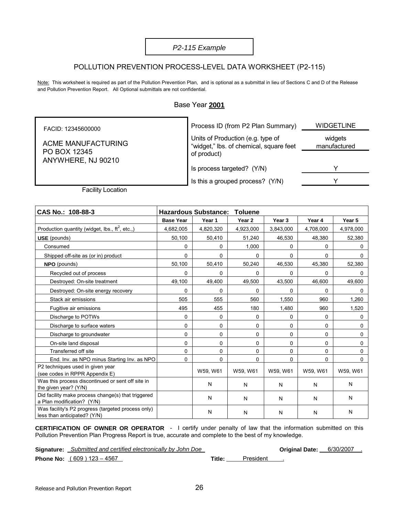#### *P2-115 Example*

#### POLLUTION PREVENTION PROCESS-LEVEL DATA WORKSHEET (P2-115)

Note: This worksheet is required as part of the Pollution Prevention Plan, and is optional as a submittal in lieu of Sections C and D of the Release and Pollution Prevention Report. All Optional submittals are not confidential.

#### Base Year **2001**

Process ID (from P2 Plan Summary) WIDGETLINE widgets manufactured Units of Production (e.g. type of "widget," lbs. of chemical, square feet of product) Is process targeted? (Y/N) Y FACID: 12345600000 ACME MANUFACTURING PO BOX 12345 ANYWHERE, NJ 90210 Is this a grouped process? (Y/N) Y

Facility Location

| CAS No.: 108-88-3                                                                  |                  | <b>Hazardous Substance:</b> | <b>Toluene</b> |                   |           |           |
|------------------------------------------------------------------------------------|------------------|-----------------------------|----------------|-------------------|-----------|-----------|
|                                                                                    | <b>Base Year</b> | Year 1                      | Year 2         | Year <sub>3</sub> | Year 4    | Year 5    |
| Production quantity (widget, lbs., $\text{ft}^2$ , etc.,)                          | 4,682,005        | 4,820,320                   | 4,923,000      | 3,843,000         | 4,708,000 | 4,978,000 |
| <b>USE</b> (pounds)                                                                | 50,100           | 50,410                      | 51,240         | 46,530            | 48,380    | 52,380    |
| Consumed                                                                           | 0                | 0                           | 1,000          | 0                 | 0         | 0         |
| Shipped off-site as (or in) product                                                | $\Omega$         | $\Omega$                    | 0              | $\Omega$          | $\Omega$  | 0         |
| <b>NPO</b> (pounds)                                                                | 50,100           | 50,410                      | 50,240         | 46,530            | 45,380    | 52,380    |
| Recycled out of process                                                            | 0                | $\Omega$                    | 0              | 0                 | 0         | 0         |
| Destroyed: On-site treatment                                                       | 49,100           | 49,400                      | 49,500         | 43,500            | 46,600    | 49,600    |
| Destroyed: On-site energy recovery                                                 | 0                | 0                           | 0              | $\Omega$          | 0         | $\Omega$  |
| Stack air emissions                                                                | 505              | 555                         | 560            | 1,550             | 960       | 1,260     |
| Fugitive air emissions                                                             | 495              | 455                         | 180            | 1,480             | 960       | 1,520     |
| Discharge to POTWs                                                                 | 0                | 0                           | 0              | 0                 | 0         | $\Omega$  |
| Discharge to surface waters                                                        | 0                | 0                           | 0              | 0                 | 0         | 0         |
| Discharge to groundwater                                                           | 0                | 0                           | 0              | 0                 | 0         | 0         |
| On-site land disposal                                                              | 0                | 0                           | 0              | 0                 | 0         | 0         |
| Transferred off site                                                               | 0                | 0                           | 0              | 0                 | 0         | 0         |
| End. Inv. as NPO minus Starting Inv. as NPO                                        | 0                | 0                           | 0              | 0                 | 0         | 0         |
| P2 techniques used in given year<br>(see codes in RPPR Appendix E)                 |                  | W59, W61                    | W59, W61       | W59, W61          | W59, W61  | W59, W61  |
| Was this process discontinued or sent off site in<br>the given year? (Y/N)         |                  | N                           | N              | N                 | N         | N         |
| Did facility make process change(s) that triggered<br>a Plan modification? (Y/N)   |                  | N                           | N              | N                 | N         | N         |
| Was facility's P2 progress (targeted process only)<br>less than anticipated? (Y/N) |                  | N                           | N              | N                 | N         | N         |

**CERTIFICATION OF OWNER OR OPERATOR** - I certify under penalty of law that the information submitted on this Pollution Prevention Plan Progress Report is true, accurate and complete to the best of my knowledge.

**Signature:** *Submitted and certified electronically by John Doe* **Committion Committed and Certified electronically by John Doe** 

**Phone No:** (609) 123 – 4567 **Title:** President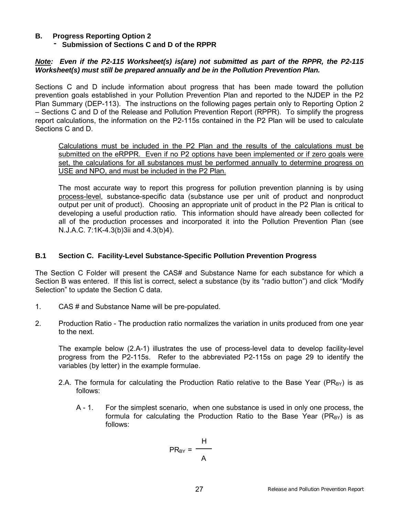#### **B. Progress Reporting Option 2**

**- Submission of Sections C and D of the RPPR**

#### *Note: Even if the P2-115 Worksheet(s) is(are) not submitted as part of the RPPR, the P2-115 Worksheet(s) must still be prepared annually and be in the Pollution Prevention Plan.*

Sections C and D include information about progress that has been made toward the pollution prevention goals established in your Pollution Prevention Plan and reported to the NJDEP in the P2 Plan Summary (DEP-113). The instructions on the following pages pertain only to Reporting Option 2 – Sections C and D of the Release and Pollution Prevention Report (RPPR). To simplify the progress report calculations, the information on the P2-115s contained in the P2 Plan will be used to calculate Sections C and D.

Calculations must be included in the P2 Plan and the results of the calculations must be submitted on the eRPPR. Even if no P2 options have been implemented or if zero goals were set, the calculations for all substances must be performed annually to determine progress on USE and NPO, and must be included in the P2 Plan.

The most accurate way to report this progress for pollution prevention planning is by using process-level, substance-specific data (substance use per unit of product and nonproduct output per unit of product). Choosing an appropriate unit of product in the P2 Plan is critical to developing a useful production ratio. This information should have already been collected for all of the production processes and incorporated it into the Pollution Prevention Plan (see N.J.A.C. 7:1K-4.3(b)3ii and 4.3(b)4).

#### **B.1 Section C. Facility-Level Substance-Specific Pollution Prevention Progress**

The Section C Folder will present the CAS# and Substance Name for each substance for which a Section B was entered. If this list is correct, select a substance (by its "radio button") and click "Modify Selection" to update the Section C data.

- 1. CAS # and Substance Name will be pre-populated.
- 2. Production Ratio The production ratio normalizes the variation in units produced from one year to the next.

The example below (2.A-1) illustrates the use of process-level data to develop facility-level progress from the P2-115s. Refer to the abbreviated P2-115s on page 29 to identify the variables (by letter) in the example formulae.

- 2.A. The formula for calculating the Production Ratio relative to the Base Year ( $PR_{BY}$ ) is as follows:
	- A 1. For the simplest scenario, when one substance is used in only one process, the formula for calculating the Production Ratio to the Base Year ( $PR_{BY}$ ) is as follows:

$$
PR_{BY} = \frac{H}{A}
$$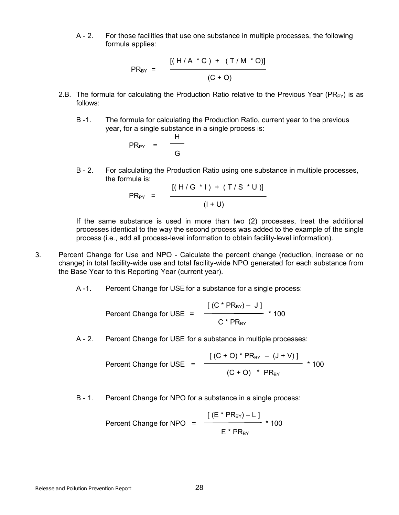A - 2. For those facilities that use one substance in multiple processes, the following formula applies:

PR<sub>BY</sub> = 
$$
\frac{[(H/A * C) + (T/M * O)]}{(C + O)}
$$

- 2.B. The formula for calculating the Production Ratio relative to the Previous Year ( $PR_{PY}$ ) is as follows:
	- B -1. The formula for calculating the Production Ratio, current year to the previous year, for a single substance in a single process is:

$$
PR_{PY} = \frac{H}{G}
$$

B - 2. For calculating the Production Ratio using one substance in multiple processes, the formula is:

PR<sub>PY</sub> = 
$$
\frac{[(H/G * I) + (T/S * U)]}{(I + U)}
$$

If the same substance is used in more than two (2) processes, treat the additional processes identical to the way the second process was added to the example of the single process (i.e., add all process-level information to obtain facility-level information).

- 3. Percent Change for Use and NPO Calculate the percent change (reduction, increase or no change) in total facility-wide use and total facility-wide NPO generated for each substance from the Base Year to this Reporting Year (current year).
	- A -1. Percent Change for USE for a substance for a single process:

Percent Change for USE = 
$$
\frac{[(C * PR_{BY}) - J]}{C * PR_{BY}}
$$
 100

A - 2. Percent Change for USE for a substance in multiple processes:

Percent Change for USE = 
$$
\frac{[(C + O) * PR_{BY} - (J + V)]}{(C + O) * PR_{BY}} \times 100
$$

B - 1. Percent Change for NPO for a substance in a single process:

Percent Change for NPO = 
$$
\frac{[(E * PR_{BY}) - L]}{E * PR_{BY}} \times 100
$$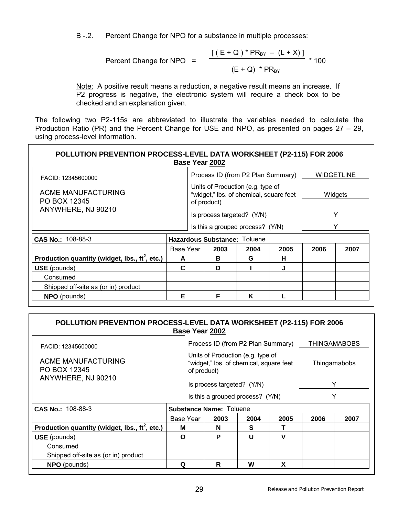B -.2. Percent Change for NPO for a substance in multiple processes:

Percent Change for NPO = 
$$
\frac{[(E+Q)^*PR_{BY} - (L+X)]}{(E+Q)^*PR_{BY}} * 100
$$

Note: A positive result means a reduction, a negative result means an increase. If P2 progress is negative, the electronic system will require a check box to be checked and an explanation given.

The following two P2-115s are abbreviated to illustrate the variables needed to calculate the Production Ratio (PR) and the Percent Change for USE and NPO, as presented on pages  $27 - 29$ , using process-level information.

| POLLUTION PREVENTION PROCESS-LEVEL DATA WORKSHEET (P2-115) FOR 2006<br>Base Year 2002 |           |                                  |                                                                                             |      |      |                   |         |  |
|---------------------------------------------------------------------------------------|-----------|----------------------------------|---------------------------------------------------------------------------------------------|------|------|-------------------|---------|--|
| FACID: 12345600000                                                                    |           |                                  | Process ID (from P2 Plan Summary)                                                           |      |      | <b>WIDGETLINE</b> |         |  |
| ACME MANUFACTURING<br>PO BOX 12345                                                    |           |                                  | Units of Production (e.g. type of<br>"widget," lbs. of chemical, square feet<br>of product) |      |      |                   | Widgets |  |
| ANYWHERE, NJ 90210                                                                    |           | Is process targeted? (Y/N)       |                                                                                             |      |      |                   |         |  |
|                                                                                       |           | Is this a grouped process? (Y/N) |                                                                                             |      |      |                   |         |  |
| CAS No.: 108-88-3                                                                     |           | Hazardous Substance: Toluene     |                                                                                             |      |      |                   |         |  |
|                                                                                       | Base Year |                                  | 2003                                                                                        | 2004 | 2005 | 2006              | 2007    |  |
| Production quantity (widget, lbs., $\text{ft}^2$ , etc.)                              | A         |                                  | в                                                                                           | G    | н    |                   |         |  |
| <b>USE</b> (pounds)<br>Consumed                                                       |           |                                  | D                                                                                           |      | J    |                   |         |  |
|                                                                                       |           |                                  |                                                                                             |      |      |                   |         |  |
| Shipped off-site as (or in) product                                                   |           |                                  |                                                                                             |      |      |                   |         |  |
| <b>NPO</b> (pounds)                                                                   | Е         |                                  | F                                                                                           | K    |      |                   |         |  |

| POLLUTION PREVENTION PROCESS-LEVEL DATA WORKSHEET (P2-115) FOR 2006 |   |                                                                                             | Base Year 2002 |      |      |                                                |      |
|---------------------------------------------------------------------|---|---------------------------------------------------------------------------------------------|----------------|------|------|------------------------------------------------|------|
| FACID: 12345600000                                                  |   |                                                                                             |                |      |      | Process ID (from P2 Plan Summary) THINGAMABOBS |      |
| ACME MANUFACTURING<br>PO BOX 12345                                  |   | Units of Production (e.g. type of<br>"widget," lbs. of chemical, square feet<br>of product) |                |      |      | Thingamabobs                                   |      |
| ANYWHERE, NJ 90210                                                  |   | Is process targeted? (Y/N)                                                                  |                |      |      |                                                | v    |
|                                                                     |   | Is this a grouped process? (Y/N)                                                            |                |      | Y    |                                                |      |
| CAS No.: 108-88-3                                                   |   | <b>Substance Name: Toluene</b>                                                              |                |      |      |                                                |      |
|                                                                     |   | Base Year                                                                                   | 2003           | 2004 | 2005 | 2006                                           | 2007 |
| Production quantity (widget, lbs., $\text{ft}^2$ , etc.)            | м |                                                                                             | N              | S    |      |                                                |      |
| <b>USE</b> (pounds)                                                 |   | Ω                                                                                           | P              | U    | v    |                                                |      |
| Consumed                                                            |   |                                                                                             |                |      |      |                                                |      |
| Shipped off-site as (or in) product                                 |   |                                                                                             |                |      |      |                                                |      |
| <b>NPO</b> (pounds)                                                 | Q |                                                                                             | R              | w    | X    |                                                |      |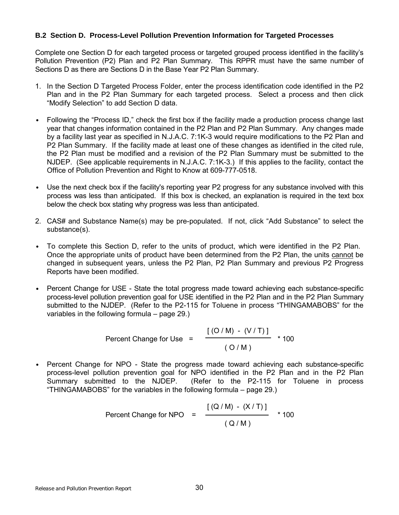#### **B.2 Section D. Process-Level Pollution Prevention Information for Targeted Processes**

Complete one Section D for each targeted process or targeted grouped process identified in the facilityís Pollution Prevention (P2) Plan and P2 Plan Summary. This RPPR must have the same number of Sections D as there are Sections D in the Base Year P2 Plan Summary.

- 1. In the Section D Targeted Process Folder, enter the process identification code identified in the P2 Plan and in the P2 Plan Summary for each targeted process. Select a process and then click "Modify Selection" to add Section D data.
- Following the "Process ID," check the first box if the facility made a production process change last year that changes information contained in the P2 Plan and P2 Plan Summary. Any changes made by a facility last year as specified in N.J.A.C. 7:1K-3 would require modifications to the P2 Plan and P2 Plan Summary. If the facility made at least one of these changes as identified in the cited rule, the P2 Plan must be modified and a revision of the P2 Plan Summary must be submitted to the NJDEP. (See applicable requirements in N.J.A.C. 7:1K-3.) If this applies to the facility, contact the Office of Pollution Prevention and Right to Know at 609-777-0518.
- Use the next check box if the facility's reporting year P2 progress for any substance involved with this process was less than anticipated. If this box is checked, an explanation is required in the text box below the check box stating why progress was less than anticipated.
- 2. CAS# and Substance Name(s) may be pre-populated. If not, click "Add Substance" to select the substance(s).
- To complete this Section D, refer to the units of product, which were identified in the P2 Plan. Once the appropriate units of product have been determined from the P2 Plan, the units cannot be changed in subsequent years, unless the P2 Plan, P2 Plan Summary and previous P2 Progress Reports have been modified.
- Percent Change for USE State the total progress made toward achieving each substance-specific process-level pollution prevention goal for USE identified in the P2 Plan and in the P2 Plan Summary submitted to the NJDEP. (Refer to the P2-115 for Toluene in process "THINGAMABOBS" for the variables in the following formula  $-$  page 29.)

Percent Change for Use 
$$
= \frac{[(O/M) - (V/T)]}{(O/M)}
$$
 \* 100

• Percent Change for NPO - State the progress made toward achieving each substance-specific process-level pollution prevention goal for NPO identified in the P2 Plan and in the P2 Plan Summary submitted to the NJDEP. (Refer to the P2-115 for Toluene in process "THINGAMABOBS" for the variables in the following formula  $-$  page 29.)

Percent Change for NPO = 
$$
\frac{[(Q/M) - (X/T)]}{(Q/M)}
$$
 \* 100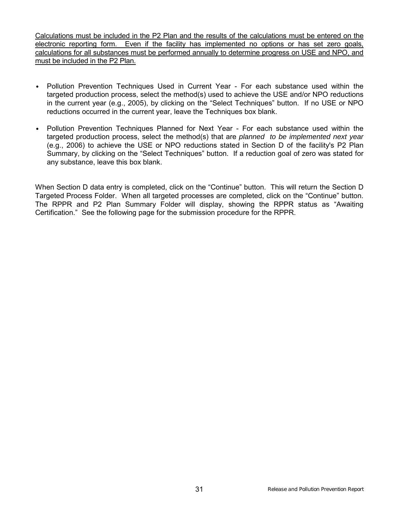Calculations must be included in the P2 Plan and the results of the calculations must be entered on the electronic reporting form. Even if the facility has implemented no options or has set zero goals, calculations for all substances must be performed annually to determine progress on USE and NPO, and must be included in the P2 Plan.

- Pollution Prevention Techniques Used in Current Year For each substance used within the targeted production process, select the method(s) used to achieve the USE and/or NPO reductions in the current year (e.g., 2005), by clicking on the "Select Techniques" button. If no USE or NPO reductions occurred in the current year, leave the Techniques box blank.
- Pollution Prevention Techniques Planned for Next Year For each substance used within the targeted production process, select the method(s) that are *planned to be implemented next year* (e.g., 2006) to achieve the USE or NPO reductions stated in Section D of the facility's P2 Plan Summary, by clicking on the "Select Techniques" button. If a reduction goal of zero was stated for any substance, leave this box blank.

When Section D data entry is completed, click on the "Continue" button. This will return the Section D Targeted Process Folder. When all targeted processes are completed, click on the "Continue" button. The RPPR and P2 Plan Summary Folder will display, showing the RPPR status as "Awaiting Certification." See the following page for the submission procedure for the RPPR.